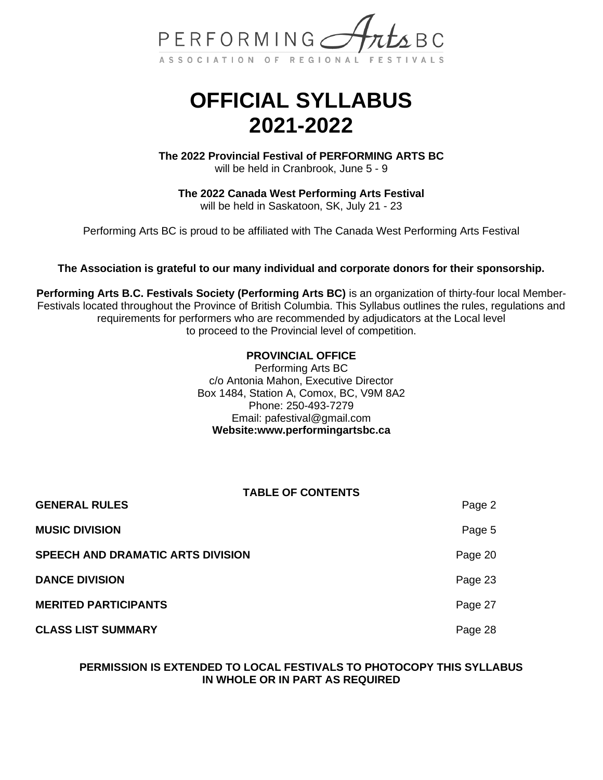

# **OFFICIAL SYLLABUS 2021-2022**

**The 2022 Provincial Festival of PERFORMING ARTS BC** will be held in Cranbrook, June 5 - 9

**The 2022 Canada West Performing Arts Festival** will be held in Saskatoon, SK, July 21 - 23

Performing Arts BC is proud to be affiliated with The Canada West Performing Arts Festival

### **The Association is grateful to our many individual and corporate donors for their sponsorship.**

**Performing Arts B.C. Festivals Society (Performing Arts BC)** is an organization of thirty-four local Member-Festivals located throughout the Province of British Columbia. This Syllabus outlines the rules, regulations and requirements for performers who are recommended by adjudicators at the Local level to proceed to the Provincial level of competition.

### **PROVINCIAL OFFICE**

Performing Arts BC c/o Antonia Mahon, Executive Director Box 1484, Station A, Comox, BC, V9M 8A2 Phone: 250-493-7279 Email: [pafestival@gmail.com](mailto:pafestival@gmail.com) **Website:www.performingartsbc.ca**

### **TABLE OF CONTENTS**

| <b>GENERAL RULES</b>              | Page 2  |
|-----------------------------------|---------|
| <b>MUSIC DIVISION</b>             | Page 5  |
| SPEECH AND DRAMATIC ARTS DIVISION | Page 20 |
| <b>DANCE DIVISION</b>             | Page 23 |
| <b>MERITED PARTICIPANTS</b>       | Page 27 |
| <b>CLASS LIST SUMMARY</b>         | Page 28 |

### **PERMISSION IS EXTENDED TO LOCAL FESTIVALS TO PHOTOCOPY THIS SYLLABUS IN WHOLE OR IN PART AS REQUIRED**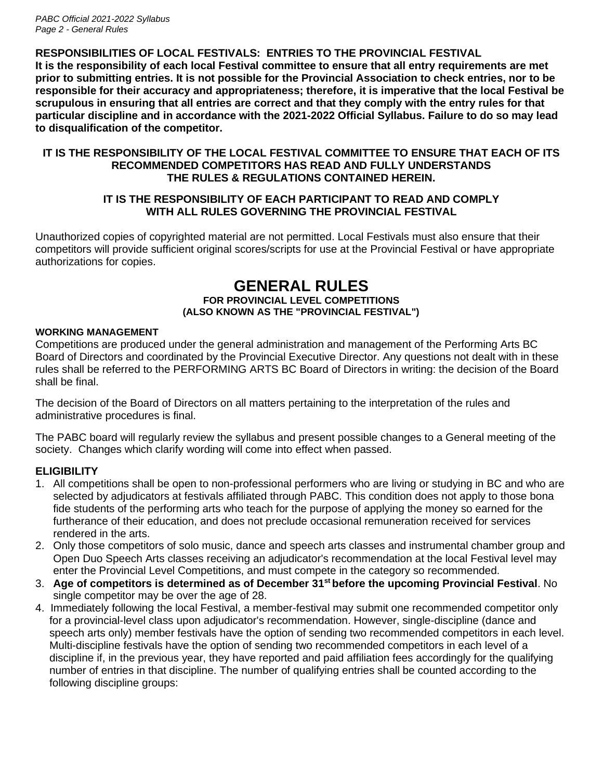*PABC Official 2021-2022 Syllabus Page 2 - General Rules*

### **RESPONSIBILITIES OF LOCAL FESTIVALS: ENTRIES TO THE PROVINCIAL FESTIVAL**

**It is the responsibility of each local Festival committee to ensure that all entry requirements are met prior to submitting entries. It is not possible for the Provincial Association to check entries, nor to be responsible for their accuracy and appropriateness; therefore, it is imperative that the local Festival be scrupulous in ensuring that all entries are correct and that they comply with the entry rules for that particular discipline and in accordance with the 2021-2022 Official Syllabus. Failure to do so may lead to disqualification of the competitor.**

### **IT IS THE RESPONSIBILITY OF THE LOCAL FESTIVAL COMMITTEE TO ENSURE THAT EACH OF ITS RECOMMENDED COMPETITORS HAS READ AND FULLY UNDERSTANDS THE RULES & REGULATIONS CONTAINED HEREIN.**

### **IT IS THE RESPONSIBILITY OF EACH PARTICIPANT TO READ AND COMPLY WITH ALL RULES GOVERNING THE PROVINCIAL FESTIVAL**

Unauthorized copies of copyrighted material are not permitted. Local Festivals must also ensure that their competitors will provide sufficient original scores/scripts for use at the Provincial Festival or have appropriate authorizations for copies.

### **GENERAL RULES FOR PROVINCIAL LEVEL COMPETITIONS (ALSO KNOWN AS THE "PROVINCIAL FESTIVAL")**

### **WORKING MANAGEMENT**

Competitions are produced under the general administration and management of the Performing Arts BC Board of Directors and coordinated by the Provincial Executive Director. Any questions not dealt with in these rules shall be referred to the PERFORMING ARTS BC Board of Directors in writing: the decision of the Board shall be final.

The decision of the Board of Directors on all matters pertaining to the interpretation of the rules and administrative procedures is final.

The PABC board will regularly review the syllabus and present possible changes to a General meeting of the society. Changes which clarify wording will come into effect when passed.

### **ELIGIBILITY**

- 1. All competitions shall be open to non-professional performers who are living or studying in BC and who are selected by adjudicators at festivals affiliated through PABC. This condition does not apply to those bona fide students of the performing arts who teach for the purpose of applying the money so earned for the furtherance of their education, and does not preclude occasional remuneration received for services rendered in the arts.
- 2. Only those competitors of solo music, dance and speech arts classes and instrumental chamber group and Open Duo Speech Arts classes receiving an adjudicator's recommendation at the local Festival level may enter the Provincial Level Competitions, and must compete in the category so recommended.
- 3. **Age of competitors is determined as of December 31st before the upcoming Provincial Festival**. No single competitor may be over the age of 28.
- 4. Immediately following the local Festival, a member-festival may submit one recommended competitor only for a provincial-level class upon adjudicator's recommendation. However, single-discipline (dance and speech arts only) member festivals have the option of sending two recommended competitors in each level. Multi-discipline festivals have the option of sending two recommended competitors in each level of a discipline if, in the previous year, they have reported and paid affiliation fees accordingly for the qualifying number of entries in that discipline. The number of qualifying entries shall be counted according to the following discipline groups: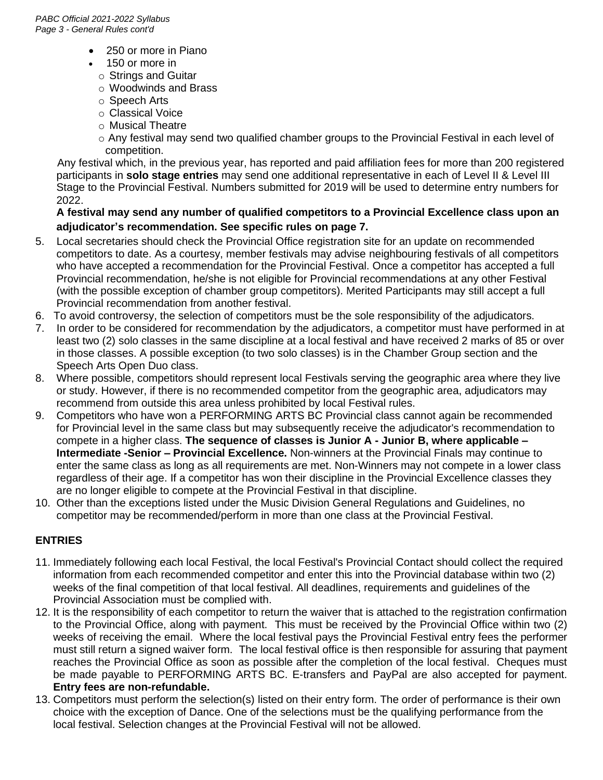- 250 or more in Piano
- 150 or more in
	- o Strings and Guitar
	- o Woodwinds and Brass
	- o Speech Arts
	- o Classical Voice
	- o Musical Theatre
	- $\circ$  Any festival may send two qualified chamber groups to the Provincial Festival in each level of competition.

 Any festival which, in the previous year, has reported and paid affiliation fees for more than 200 registered participants in **solo stage entries** may send one additional representative in each of Level II & Level III Stage to the Provincial Festival. Numbers submitted for 2019 will be used to determine entry numbers for 2022.

### **A festival may send any number of qualified competitors to a Provincial Excellence class upon an adjudicator's recommendation. See specific rules on page 7.**

- 5. Local secretaries should check the Provincial Office registration site for an update on recommended competitors to date. As a courtesy, member festivals may advise neighbouring festivals of all competitors who have accepted a recommendation for the Provincial Festival. Once a competitor has accepted a full Provincial recommendation, he/she is not eligible for Provincial recommendations at any other Festival (with the possible exception of chamber group competitors). Merited Participants may still accept a full Provincial recommendation from another festival.
- 6. To avoid controversy, the selection of competitors must be the sole responsibility of the adjudicators.
- 7. In order to be considered for recommendation by the adjudicators, a competitor must have performed in at least two (2) solo classes in the same discipline at a local festival and have received 2 marks of 85 or over in those classes. A possible exception (to two solo classes) is in the Chamber Group section and the Speech Arts Open Duo class.
- 8. Where possible, competitors should represent local Festivals serving the geographic area where they live or study. However, if there is no recommended competitor from the geographic area, adjudicators may recommend from outside this area unless prohibited by local Festival rules.
- 9. Competitors who have won a PERFORMING ARTS BC Provincial class cannot again be recommended for Provincial level in the same class but may subsequently receive the adjudicator's recommendation to compete in a higher class. **The sequence of classes is Junior A - Junior B, where applicable – Intermediate -Senior – Provincial Excellence.** Non-winners at the Provincial Finals may continue to enter the same class as long as all requirements are met. Non-Winners may not compete in a lower class regardless of their age. If a competitor has won their discipline in the Provincial Excellence classes they are no longer eligible to compete at the Provincial Festival in that discipline.
- 10. Other than the exceptions listed under the Music Division General Regulations and Guidelines, no competitor may be recommended/perform in more than one class at the Provincial Festival.

### **ENTRIES**

- 11. Immediately following each local Festival, the local Festival's Provincial Contact should collect the required information from each recommended competitor and enter this into the Provincial database within two (2) weeks of the final competition of that local festival. All deadlines, requirements and guidelines of the Provincial Association must be complied with.
- 12. It is the responsibility of each competitor to return the waiver that is attached to the registration confirmation to the Provincial Office, along with payment. This must be received by the Provincial Office within two (2) weeks of receiving the email. Where the local festival pays the Provincial Festival entry fees the performer must still return a signed waiver form. The local festival office is then responsible for assuring that payment reaches the Provincial Office as soon as possible after the completion of the local festival. Cheques must be made payable to PERFORMING ARTS BC. E-transfers and PayPal are also accepted for payment. **Entry fees are non-refundable.**
- 13. Competitors must perform the selection(s) listed on their entry form. The order of performance is their own choice with the exception of Dance. One of the selections must be the qualifying performance from the local festival. Selection changes at the Provincial Festival will not be allowed.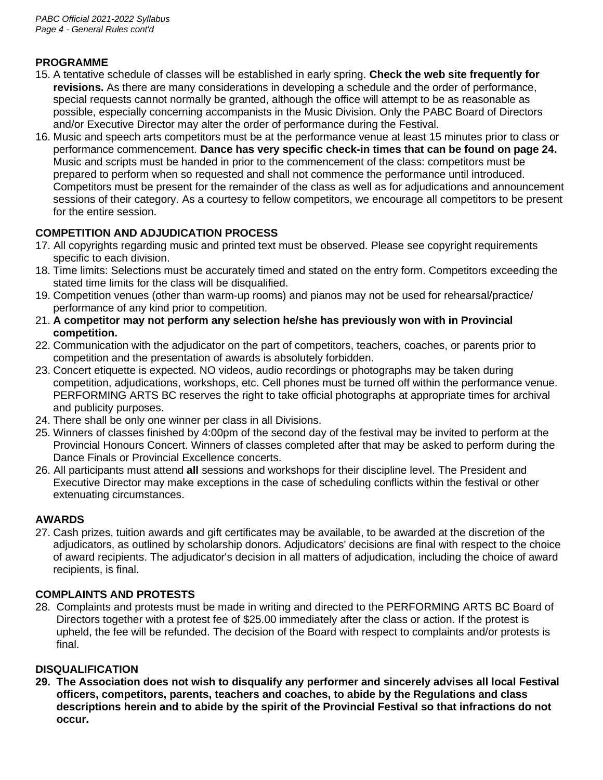### **PROGRAMME**

- 15. A tentative schedule of classes will be established in early spring. **Check the web site frequently for revisions.** As there are many considerations in developing a schedule and the order of performance, special requests cannot normally be granted, although the office will attempt to be as reasonable as possible, especially concerning accompanists in the Music Division. Only the PABC Board of Directors and/or Executive Director may alter the order of performance during the Festival.
- 16. Music and speech arts competitors must be at the performance venue at least 15 minutes prior to class or performance commencement. **Dance has very specific check-in times that can be found on page 24.** Music and scripts must be handed in prior to the commencement of the class: competitors must be prepared to perform when so requested and shall not commence the performance until introduced. Competitors must be present for the remainder of the class as well as for adjudications and announcement sessions of their category. As a courtesy to fellow competitors, we encourage all competitors to be present for the entire session.

# **COMPETITION AND ADJUDICATION PROCESS**

- 17. All copyrights regarding music and printed text must be observed. Please see copyright requirements specific to each division.
- 18. Time limits: Selections must be accurately timed and stated on the entry form. Competitors exceeding the stated time limits for the class will be disqualified.
- 19. Competition venues (other than warm-up rooms) and pianos may not be used for rehearsal/practice/ performance of any kind prior to competition.
- 21. **A competitor may not perform any selection he/she has previously won with in Provincial competition.**
- 22. Communication with the adjudicator on the part of competitors, teachers, coaches, or parents prior to competition and the presentation of awards is absolutely forbidden.
- 23. Concert etiquette is expected. NO videos, audio recordings or photographs may be taken during competition, adjudications, workshops, etc. Cell phones must be turned off within the performance venue. PERFORMING ARTS BC reserves the right to take official photographs at appropriate times for archival and publicity purposes.
- 24. There shall be only one winner per class in all Divisions.
- 25. Winners of classes finished by 4:00pm of the second day of the festival may be invited to perform at the Provincial Honours Concert. Winners of classes completed after that may be asked to perform during the Dance Finals or Provincial Excellence concerts.
- 26. All participants must attend **all** sessions and workshops for their discipline level. The President and Executive Director may make exceptions in the case of scheduling conflicts within the festival or other extenuating circumstances.

# **AWARDS**

27. Cash prizes, tuition awards and gift certificates may be available, to be awarded at the discretion of the adjudicators, as outlined by scholarship donors. Adjudicators' decisions are final with respect to the choice of award recipients. The adjudicator's decision in all matters of adjudication, including the choice of award recipients, is final.

# **COMPLAINTS AND PROTESTS**

28. Complaints and protests must be made in writing and directed to the PERFORMING ARTS BC Board of Directors together with a protest fee of \$25.00 immediately after the class or action. If the protest is upheld, the fee will be refunded. The decision of the Board with respect to complaints and/or protests is final.

### **DISQUALIFICATION**

**29. The Association does not wish to disqualify any performer and sincerely advises all local Festival officers, competitors, parents, teachers and coaches, to abide by the Regulations and class descriptions herein and to abide by the spirit of the Provincial Festival so that infractions do not occur.**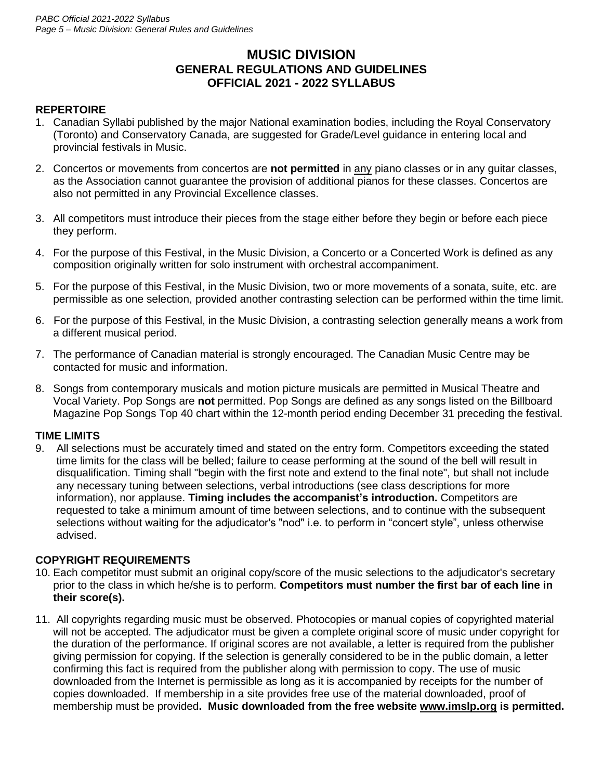# **MUSIC DIVISION GENERAL REGULATIONS AND GUIDELINES OFFICIAL 2021 - 2022 SYLLABUS**

### **REPERTOIRE**

- 1. Canadian Syllabi published by the major National examination bodies, including the Royal Conservatory (Toronto) and Conservatory Canada, are suggested for Grade/Level guidance in entering local and provincial festivals in Music.
- 2. Concertos or movements from concertos are **not permitted** in any piano classes or in any guitar classes, as the Association cannot guarantee the provision of additional pianos for these classes. Concertos are also not permitted in any Provincial Excellence classes.
- 3. All competitors must introduce their pieces from the stage either before they begin or before each piece they perform.
- 4. For the purpose of this Festival, in the Music Division, a Concerto or a Concerted Work is defined as any composition originally written for solo instrument with orchestral accompaniment.
- 5. For the purpose of this Festival, in the Music Division, two or more movements of a sonata, suite, etc. are permissible as one selection, provided another contrasting selection can be performed within the time limit.
- 6. For the purpose of this Festival, in the Music Division, a contrasting selection generally means a work from a different musical period.
- 7. The performance of Canadian material is strongly encouraged. The Canadian Music Centre may be contacted for music and information.
- 8. Songs from contemporary musicals and motion picture musicals are permitted in Musical Theatre and Vocal Variety. Pop Songs are **not** permitted. Pop Songs are defined as any songs listed on the Billboard Magazine Pop Songs Top 40 chart within the 12-month period ending December 31 preceding the festival.

### **TIME LIMITS**

9. All selections must be accurately timed and stated on the entry form. Competitors exceeding the stated time limits for the class will be belled; failure to cease performing at the sound of the bell will result in disqualification. Timing shall "begin with the first note and extend to the final note", but shall not include any necessary tuning between selections, verbal introductions (see class descriptions for more information), nor applause. **Timing includes the accompanist's introduction.** Competitors are requested to take a minimum amount of time between selections, and to continue with the subsequent selections without waiting for the adjudicator's "nod" i.e. to perform in "concert style", unless otherwise advised.

### **COPYRIGHT REQUIREMENTS**

- 10. Each competitor must submit an original copy/score of the music selections to the adjudicator's secretary prior to the class in which he/she is to perform. **Competitors must number the first bar of each line in their score(s).**
- 11. All copyrights regarding music must be observed. Photocopies or manual copies of copyrighted material will not be accepted. The adjudicator must be given a complete original score of music under copyright for the duration of the performance. If original scores are not available, a letter is required from the publisher giving permission for copying. If the selection is generally considered to be in the public domain, a letter confirming this fact is required from the publisher along with permission to copy. The use of music downloaded from the Internet is permissible as long as it is accompanied by receipts for the number of copies downloaded. If membership in a site provides free use of the material downloaded, proof of membership must be provided**. Music downloaded from the free website www.imslp.org is permitted.**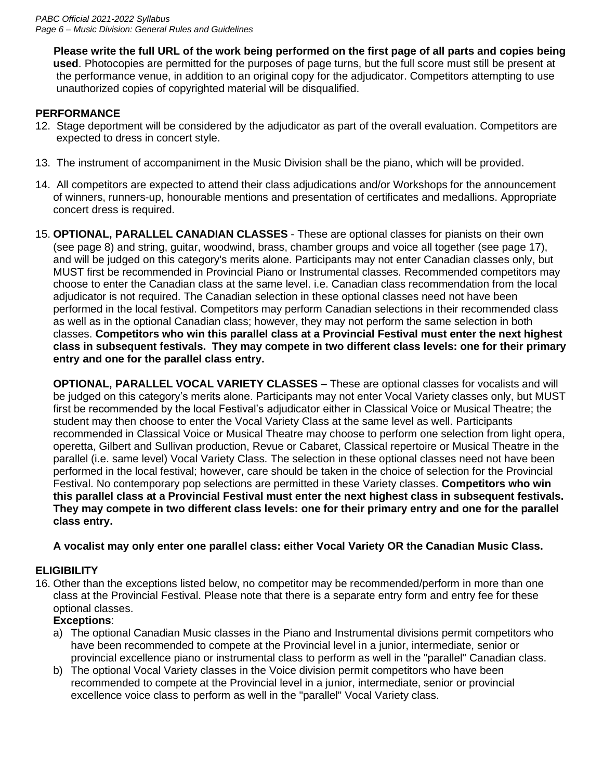**Please write the full URL of the work being performed on the first page of all parts and copies being used**. Photocopies are permitted for the purposes of page turns, but the full score must still be present at the performance venue, in addition to an original copy for the adjudicator. Competitors attempting to use unauthorized copies of copyrighted material will be disqualified.

### **PERFORMANCE**

- 12. Stage deportment will be considered by the adjudicator as part of the overall evaluation. Competitors are expected to dress in concert style.
- 13. The instrument of accompaniment in the Music Division shall be the piano, which will be provided.
- 14. All competitors are expected to attend their class adjudications and/or Workshops for the announcement of winners, runners-up, honourable mentions and presentation of certificates and medallions. Appropriate concert dress is required.
- 15. **OPTIONAL, PARALLEL CANADIAN CLASSES**  These are optional classes for pianists on their own (see page 8) and string, guitar, woodwind, brass, chamber groups and voice all together (see page 17), and will be judged on this category's merits alone. Participants may not enter Canadian classes only, but MUST first be recommended in Provincial Piano or Instrumental classes. Recommended competitors may choose to enter the Canadian class at the same level. i.e. Canadian class recommendation from the local adjudicator is not required. The Canadian selection in these optional classes need not have been performed in the local festival. Competitors may perform Canadian selections in their recommended class as well as in the optional Canadian class; however, they may not perform the same selection in both classes. **Competitors who win this parallel class at a Provincial Festival must enter the next highest class in subsequent festivals. They may compete in two different class levels: one for their primary entry and one for the parallel class entry.**

**OPTIONAL, PARALLEL VOCAL VARIETY CLASSES** – These are optional classes for vocalists and will be judged on this category's merits alone. Participants may not enter Vocal Variety classes only, but MUST first be recommended by the local Festival's adjudicator either in Classical Voice or Musical Theatre; the student may then choose to enter the Vocal Variety Class at the same level as well. Participants recommended in Classical Voice or Musical Theatre may choose to perform one selection from light opera, operetta, Gilbert and Sullivan production, Revue or Cabaret, Classical repertoire or Musical Theatre in the parallel (i.e. same level) Vocal Variety Class. The selection in these optional classes need not have been performed in the local festival; however, care should be taken in the choice of selection for the Provincial Festival. No contemporary pop selections are permitted in these Variety classes. **Competitors who win this parallel class at a Provincial Festival must enter the next highest class in subsequent festivals. They may compete in two different class levels: one for their primary entry and one for the parallel class entry.**

### **A vocalist may only enter one parallel class: either Vocal Variety OR the Canadian Music Class.**

### **ELIGIBILITY**

16. Other than the exceptions listed below, no competitor may be recommended/perform in more than one class at the Provincial Festival. Please note that there is a separate entry form and entry fee for these optional classes.

### **Exceptions**:

- a) The optional Canadian Music classes in the Piano and Instrumental divisions permit competitors who have been recommended to compete at the Provincial level in a junior, intermediate, senior or provincial excellence piano or instrumental class to perform as well in the "parallel" Canadian class.
- b) The optional Vocal Variety classes in the Voice division permit competitors who have been recommended to compete at the Provincial level in a junior, intermediate, senior or provincial excellence voice class to perform as well in the "parallel" Vocal Variety class.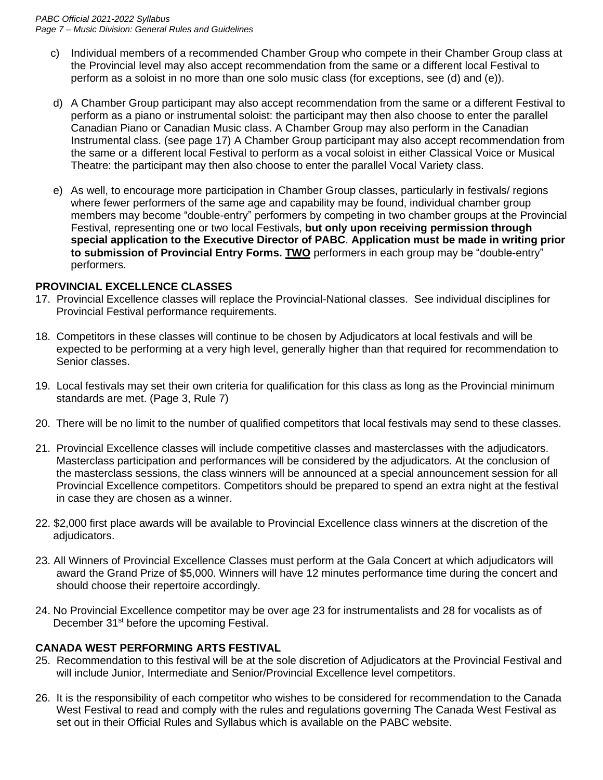- c) Individual members of a recommended Chamber Group who compete in their Chamber Group class at the Provincial level may also accept recommendation from the same or a different local Festival to perform as a soloist in no more than one solo music class (for exceptions, see (d) and (e)).
- d) A Chamber Group participant may also accept recommendation from the same or a different Festival to perform as a piano or instrumental soloist: the participant may then also choose to enter the parallel Canadian Piano or Canadian Music class. A Chamber Group may also perform in the Canadian Instrumental class. (see page 17) A Chamber Group participant may also accept recommendation from the same or a different local Festival to perform as a vocal soloist in either Classical Voice or Musical Theatre: the participant may then also choose to enter the parallel Vocal Variety class.
- e) As well, to encourage more participation in Chamber Group classes, particularly in festivals/ regions where fewer performers of the same age and capability may be found, individual chamber group members may become "double-entry" performers by competing in two chamber groups at the Provincial Festival, representing one or two local Festivals, **but only upon receiving permission through special application to the Executive Director of PABC**. **Application must be made in writing prior to submission of Provincial Entry Forms. TWO** performers in each group may be "double-entry" performers.

### **PROVINCIAL EXCELLENCE CLASSES**

- 17. Provincial Excellence classes will replace the Provincial-National classes. See individual disciplines for Provincial Festival performance requirements.
- 18. Competitors in these classes will continue to be chosen by Adjudicators at local festivals and will be expected to be performing at a very high level, generally higher than that required for recommendation to Senior classes.
- 19. Local festivals may set their own criteria for qualification for this class as long as the Provincial minimum standards are met. (Page 3, Rule 7)
- 20. There will be no limit to the number of qualified competitors that local festivals may send to these classes.
- 21. Provincial Excellence classes will include competitive classes and masterclasses with the adjudicators. Masterclass participation and performances will be considered by the adjudicators. At the conclusion of the masterclass sessions, the class winners will be announced at a special announcement session for all Provincial Excellence competitors. Competitors should be prepared to spend an extra night at the festival in case they are chosen as a winner.
- 22. \$2,000 first place awards will be available to Provincial Excellence class winners at the discretion of the adjudicators.
- 23. All Winners of Provincial Excellence Classes must perform at the Gala Concert at which adjudicators will award the Grand Prize of \$5,000. Winners will have 12 minutes performance time during the concert and should choose their repertoire accordingly.
- 24. No Provincial Excellence competitor may be over age 23 for instrumentalists and 28 for vocalists as of December 31<sup>st</sup> before the upcoming Festival.

### **CANADA WEST PERFORMING ARTS FESTIVAL**

- 25. Recommendation to this festival will be at the sole discretion of Adjudicators at the Provincial Festival and will include Junior, Intermediate and Senior/Provincial Excellence level competitors.
- 26. It is the responsibility of each competitor who wishes to be considered for recommendation to the Canada West Festival to read and comply with the rules and regulations governing The Canada West Festival as set out in their Official Rules and Syllabus which is available on the PABC website.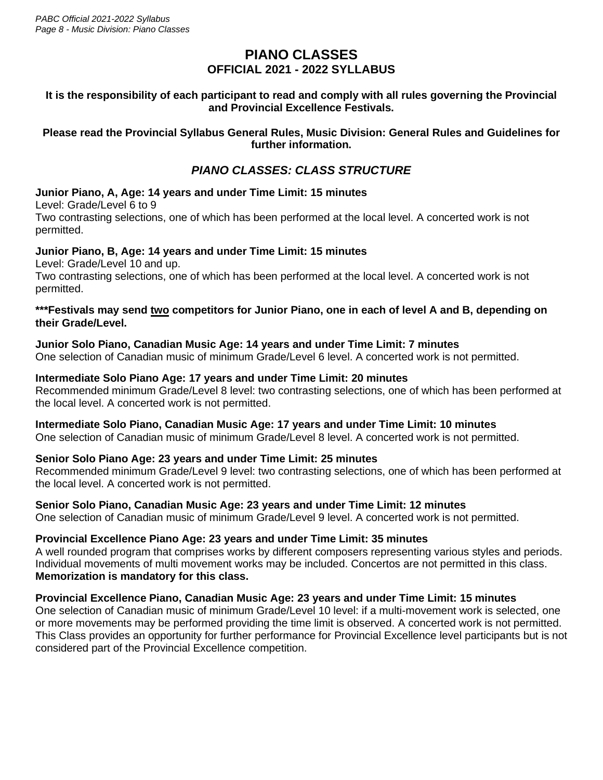# **PIANO CLASSES OFFICIAL 2021 - 2022 SYLLABUS**

### **It is the responsibility of each participant to read and comply with all rules governing the Provincial and Provincial Excellence Festivals.**

### **Please read the Provincial Syllabus General Rules, Music Division: General Rules and Guidelines for further information.**

# *PIANO CLASSES: CLASS STRUCTURE*

### **Junior Piano, A, Age: 14 years and under Time Limit: 15 minutes**

Level: Grade/Level 6 to 9

Two contrasting selections, one of which has been performed at the local level. A concerted work is not permitted.

### **Junior Piano, B, Age: 14 years and under Time Limit: 15 minutes**

Level: Grade/Level 10 and up.

Two contrasting selections, one of which has been performed at the local level. A concerted work is not permitted.

### **\*\*\*Festivals may send two competitors for Junior Piano, one in each of level A and B, depending on their Grade/Level.**

# **Junior Solo Piano, Canadian Music Age: 14 years and under Time Limit: 7 minutes**

One selection of Canadian music of minimum Grade/Level 6 level. A concerted work is not permitted.

### **Intermediate Solo Piano Age: 17 years and under Time Limit: 20 minutes**

Recommended minimum Grade/Level 8 level: two contrasting selections, one of which has been performed at the local level. A concerted work is not permitted.

### **Intermediate Solo Piano, Canadian Music Age: 17 years and under Time Limit: 10 minutes**

One selection of Canadian music of minimum Grade/Level 8 level. A concerted work is not permitted.

### **Senior Solo Piano Age: 23 years and under Time Limit: 25 minutes**

Recommended minimum Grade/Level 9 level: two contrasting selections, one of which has been performed at the local level. A concerted work is not permitted.

### **Senior Solo Piano, Canadian Music Age: 23 years and under Time Limit: 12 minutes**

One selection of Canadian music of minimum Grade/Level 9 level. A concerted work is not permitted.

### **Provincial Excellence Piano Age: 23 years and under Time Limit: 35 minutes**

A well rounded program that comprises works by different composers representing various styles and periods. Individual movements of multi movement works may be included. Concertos are not permitted in this class. **Memorization is mandatory for this class.**

### **Provincial Excellence Piano, Canadian Music Age: 23 years and under Time Limit: 15 minutes**

One selection of Canadian music of minimum Grade/Level 10 level: if a multi-movement work is selected, one or more movements may be performed providing the time limit is observed. A concerted work is not permitted. This Class provides an opportunity for further performance for Provincial Excellence level participants but is not considered part of the Provincial Excellence competition.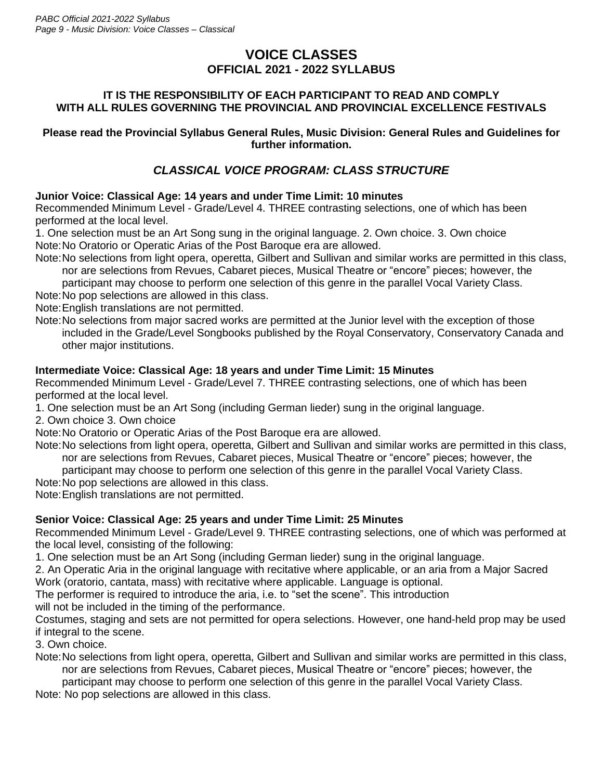# **VOICE CLASSES OFFICIAL 2021 - 2022 SYLLABUS**

### **IT IS THE RESPONSIBILITY OF EACH PARTICIPANT TO READ AND COMPLY WITH ALL RULES GOVERNING THE PROVINCIAL AND PROVINCIAL EXCELLENCE FESTIVALS**

### **Please read the Provincial Syllabus General Rules, Music Division: General Rules and Guidelines for further information.**

# *CLASSICAL VOICE PROGRAM: CLASS STRUCTURE*

# **Junior Voice: Classical Age: 14 years and under Time Limit: 10 minutes**

Recommended Minimum Level - Grade/Level 4. THREE contrasting selections, one of which has been performed at the local level.

1. One selection must be an Art Song sung in the original language. 2. Own choice. 3. Own choice Note:No Oratorio or Operatic Arias of the Post Baroque era are allowed.

Note:No selections from light opera, operetta, Gilbert and Sullivan and similar works are permitted in this class, nor are selections from Revues, Cabaret pieces, Musical Theatre or "encore" pieces; however, the

participant may choose to perform one selection of this genre in the parallel Vocal Variety Class.

Note:No pop selections are allowed in this class.

Note:English translations are not permitted.

Note:No selections from major sacred works are permitted at the Junior level with the exception of those included in the Grade/Level Songbooks published by the Royal Conservatory, Conservatory Canada and other major institutions.

# **Intermediate Voice: Classical Age: 18 years and under Time Limit: 15 Minutes**

Recommended Minimum Level - Grade/Level 7. THREE contrasting selections, one of which has been performed at the local level.

1. One selection must be an Art Song (including German lieder) sung in the original language.

2. Own choice 3. Own choice

Note:No Oratorio or Operatic Arias of the Post Baroque era are allowed.

Note:No selections from light opera, operetta, Gilbert and Sullivan and similar works are permitted in this class, nor are selections from Revues, Cabaret pieces, Musical Theatre or "encore" pieces; however, the

participant may choose to perform one selection of this genre in the parallel Vocal Variety Class.

Note:No pop selections are allowed in this class.

Note:English translations are not permitted.

# **Senior Voice: Classical Age: 25 years and under Time Limit: 25 Minutes**

Recommended Minimum Level - Grade/Level 9. THREE contrasting selections, one of which was performed at the local level, consisting of the following:

1. One selection must be an Art Song (including German lieder) sung in the original language.

2. An Operatic Aria in the original language with recitative where applicable, or an aria from a Major Sacred Work (oratorio, cantata, mass) with recitative where applicable. Language is optional.

The performer is required to introduce the aria, i.e. to "set the scene". This introduction

will not be included in the timing of the performance.

Costumes, staging and sets are not permitted for opera selections. However, one hand-held prop may be used if integral to the scene.

3. Own choice.

Note:No selections from light opera, operetta, Gilbert and Sullivan and similar works are permitted in this class, nor are selections from Revues, Cabaret pieces, Musical Theatre or "encore" pieces; however, the

participant may choose to perform one selection of this genre in the parallel Vocal Variety Class.

Note: No pop selections are allowed in this class.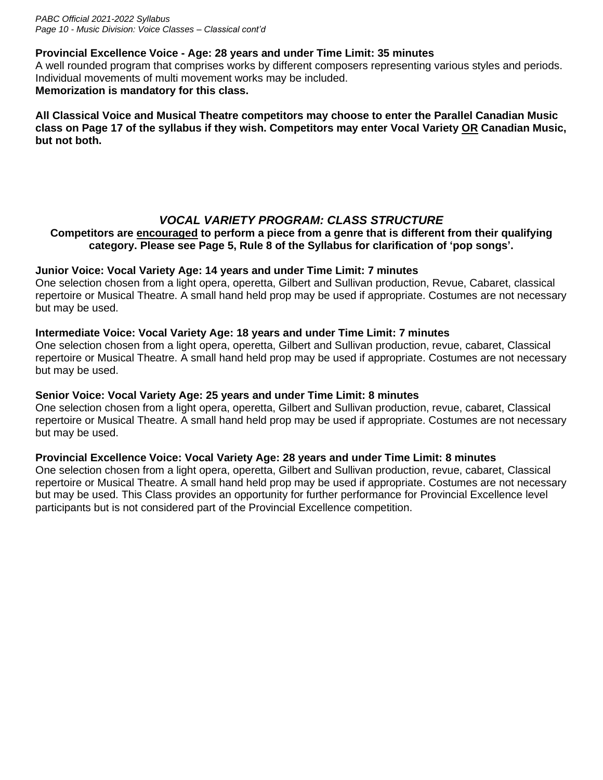### **Provincial Excellence Voice - Age: 28 years and under Time Limit: 35 minutes**

A well rounded program that comprises works by different composers representing various styles and periods. Individual movements of multi movement works may be included. **Memorization is mandatory for this class.**

**All Classical Voice and Musical Theatre competitors may choose to enter the Parallel Canadian Music class on Page 17 of the syllabus if they wish. Competitors may enter Vocal Variety OR Canadian Music, but not both.**

# *VOCAL VARIETY PROGRAM: CLASS STRUCTURE*

### **Competitors are encouraged to perform a piece from a genre that is different from their qualifying category. Please see Page 5, Rule 8 of the Syllabus for clarification of 'pop songs'.**

### **Junior Voice: Vocal Variety Age: 14 years and under Time Limit: 7 minutes**

One selection chosen from a light opera, operetta, Gilbert and Sullivan production, Revue, Cabaret, classical repertoire or Musical Theatre. A small hand held prop may be used if appropriate. Costumes are not necessary but may be used.

### **Intermediate Voice: Vocal Variety Age: 18 years and under Time Limit: 7 minutes**

One selection chosen from a light opera, operetta, Gilbert and Sullivan production, revue, cabaret, Classical repertoire or Musical Theatre. A small hand held prop may be used if appropriate. Costumes are not necessary but may be used.

### **Senior Voice: Vocal Variety Age: 25 years and under Time Limit: 8 minutes**

One selection chosen from a light opera, operetta, Gilbert and Sullivan production, revue, cabaret, Classical repertoire or Musical Theatre. A small hand held prop may be used if appropriate. Costumes are not necessary but may be used.

### **Provincial Excellence Voice: Vocal Variety Age: 28 years and under Time Limit: 8 minutes**

One selection chosen from a light opera, operetta, Gilbert and Sullivan production, revue, cabaret, Classical repertoire or Musical Theatre. A small hand held prop may be used if appropriate. Costumes are not necessary but may be used. This Class provides an opportunity for further performance for Provincial Excellence level participants but is not considered part of the Provincial Excellence competition.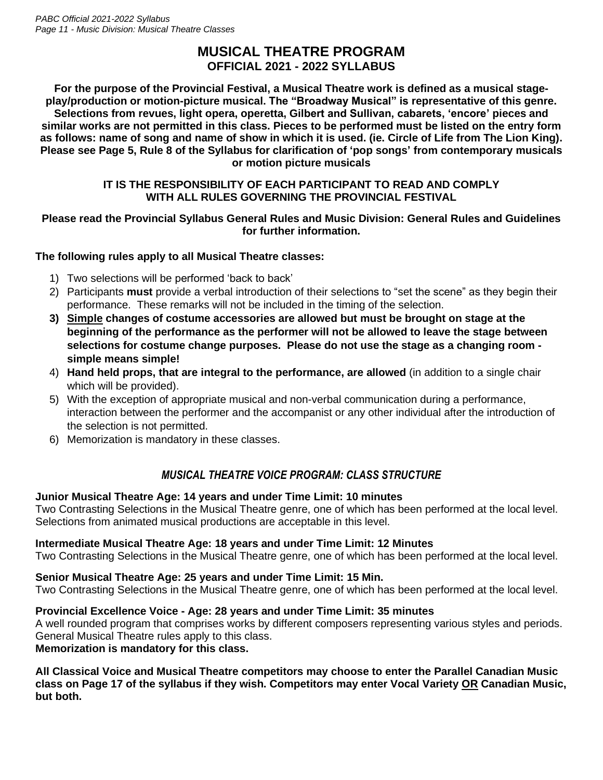# **MUSICAL THEATRE PROGRAM OFFICIAL 2021 - 2022 SYLLABUS**

**For the purpose of the Provincial Festival, a Musical Theatre work is defined as a musical stageplay/production or motion-picture musical. The "Broadway Musical" is representative of this genre. Selections from revues, light opera, operetta, Gilbert and Sullivan, cabarets, 'encore' pieces and similar works are not permitted in this class. Pieces to be performed must be listed on the entry form as follows: name of song and name of show in which it is used. (ie. Circle of Life from The Lion King). Please see Page 5, Rule 8 of the Syllabus for clarification of 'pop songs' from contemporary musicals or motion picture musicals**

### **IT IS THE RESPONSIBILITY OF EACH PARTICIPANT TO READ AND COMPLY WITH ALL RULES GOVERNING THE PROVINCIAL FESTIVAL**

### **Please read the Provincial Syllabus General Rules and Music Division: General Rules and Guidelines for further information.**

### **The following rules apply to all Musical Theatre classes:**

- 1) Two selections will be performed 'back to back'
- 2) Participants **must** provide a verbal introduction of their selections to "set the scene" as they begin their performance. These remarks will not be included in the timing of the selection.
- **3) Simple changes of costume accessories are allowed but must be brought on stage at the beginning of the performance as the performer will not be allowed to leave the stage between selections for costume change purposes. Please do not use the stage as a changing room simple means simple!**
- 4) **Hand held props, that are integral to the performance, are allowed** (in addition to a single chair which will be provided).
- 5) With the exception of appropriate musical and non-verbal communication during a performance, interaction between the performer and the accompanist or any other individual after the introduction of the selection is not permitted.
- 6) Memorization is mandatory in these classes.

# *MUSICAL THEATRE VOICE PROGRAM: CLASS STRUCTURE*

### **Junior Musical Theatre Age: 14 years and under Time Limit: 10 minutes**

Two Contrasting Selections in the Musical Theatre genre, one of which has been performed at the local level. Selections from animated musical productions are acceptable in this level.

### **Intermediate Musical Theatre Age: 18 years and under Time Limit: 12 Minutes**

Two Contrasting Selections in the Musical Theatre genre, one of which has been performed at the local level.

# **Senior Musical Theatre Age: 25 years and under Time Limit: 15 Min.**

Two Contrasting Selections in the Musical Theatre genre, one of which has been performed at the local level.

### **Provincial Excellence Voice - Age: 28 years and under Time Limit: 35 minutes**

A well rounded program that comprises works by different composers representing various styles and periods. General Musical Theatre rules apply to this class.

### **Memorization is mandatory for this class.**

**All Classical Voice and Musical Theatre competitors may choose to enter the Parallel Canadian Music class on Page 17 of the syllabus if they wish. Competitors may enter Vocal Variety OR Canadian Music, but both.**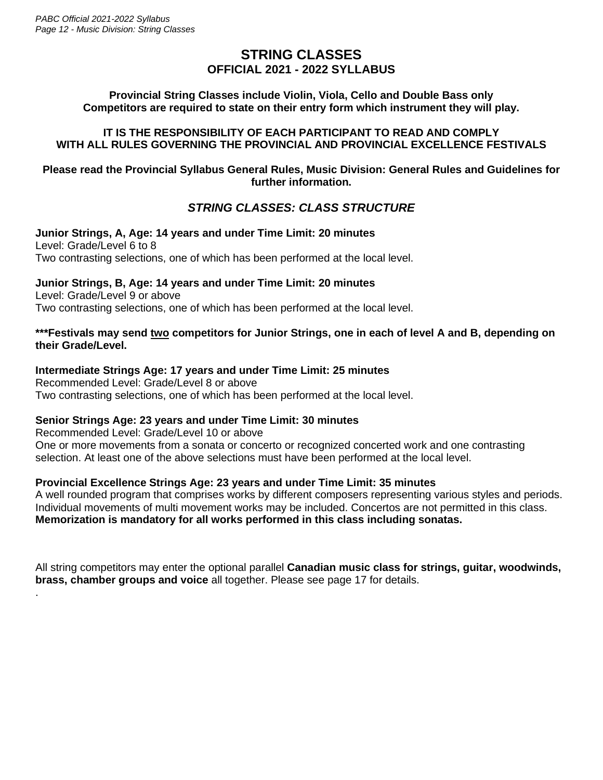.

# **STRING CLASSES OFFICIAL 2021 - 2022 SYLLABUS**

### **Provincial String Classes include Violin, Viola, Cello and Double Bass only Competitors are required to state on their entry form which instrument they will play.**

### **IT IS THE RESPONSIBILITY OF EACH PARTICIPANT TO READ AND COMPLY WITH ALL RULES GOVERNING THE PROVINCIAL AND PROVINCIAL EXCELLENCE FESTIVALS**

### **Please read the Provincial Syllabus General Rules, Music Division: General Rules and Guidelines for further information.**

# *STRING CLASSES: CLASS STRUCTURE*

#### **Junior Strings, A, Age: 14 years and under Time Limit: 20 minutes** Level: Grade/Level 6 to 8 Two contrasting selections, one of which has been performed at the local level.

### **Junior Strings, B, Age: 14 years and under Time Limit: 20 minutes**

Level: Grade/Level 9 or above Two contrasting selections, one of which has been performed at the local level.

### **\*\*\*Festivals may send two competitors for Junior Strings, one in each of level A and B, depending on their Grade/Level.**

### **Intermediate Strings Age: 17 years and under Time Limit: 25 minutes**

Recommended Level: Grade/Level 8 or above Two contrasting selections, one of which has been performed at the local level.

### **Senior Strings Age: 23 years and under Time Limit: 30 minutes**

Recommended Level: Grade/Level 10 or above One or more movements from a sonata or concerto or recognized concerted work and one contrasting selection. At least one of the above selections must have been performed at the local level.

### **Provincial Excellence Strings Age: 23 years and under Time Limit: 35 minutes**

A well rounded program that comprises works by different composers representing various styles and periods. Individual movements of multi movement works may be included. Concertos are not permitted in this class. **Memorization is mandatory for all works performed in this class including sonatas.**

All string competitors may enter the optional parallel **Canadian music class for strings, guitar, woodwinds, brass, chamber groups and voice** all together. Please see page 17 for details.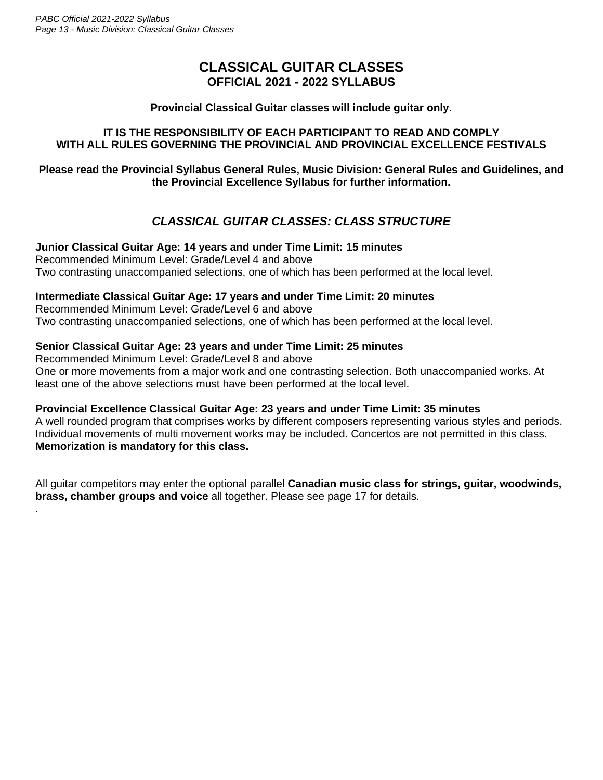.

# **CLASSICAL GUITAR CLASSES OFFICIAL 2021 - 2022 SYLLABUS**

### **Provincial Classical Guitar classes will include guitar only**.

### **IT IS THE RESPONSIBILITY OF EACH PARTICIPANT TO READ AND COMPLY WITH ALL RULES GOVERNING THE PROVINCIAL AND PROVINCIAL EXCELLENCE FESTIVALS**

### **Please read the Provincial Syllabus General Rules, Music Division: General Rules and Guidelines, and the Provincial Excellence Syllabus for further information.**

# *CLASSICAL GUITAR CLASSES: CLASS STRUCTURE*

### **Junior Classical Guitar Age: 14 years and under Time Limit: 15 minutes**

Recommended Minimum Level: Grade/Level 4 and above Two contrasting unaccompanied selections, one of which has been performed at the local level.

### **Intermediate Classical Guitar Age: 17 years and under Time Limit: 20 minutes**

Recommended Minimum Level: Grade/Level 6 and above Two contrasting unaccompanied selections, one of which has been performed at the local level.

### **Senior Classical Guitar Age: 23 years and under Time Limit: 25 minutes**

Recommended Minimum Level: Grade/Level 8 and above One or more movements from a major work and one contrasting selection. Both unaccompanied works. At least one of the above selections must have been performed at the local level.

### **Provincial Excellence Classical Guitar Age: 23 years and under Time Limit: 35 minutes**

A well rounded program that comprises works by different composers representing various styles and periods. Individual movements of multi movement works may be included. Concertos are not permitted in this class. **Memorization is mandatory for this class.**

All guitar competitors may enter the optional parallel **Canadian music class for strings, guitar, woodwinds, brass, chamber groups and voice** all together. Please see page 17 for details.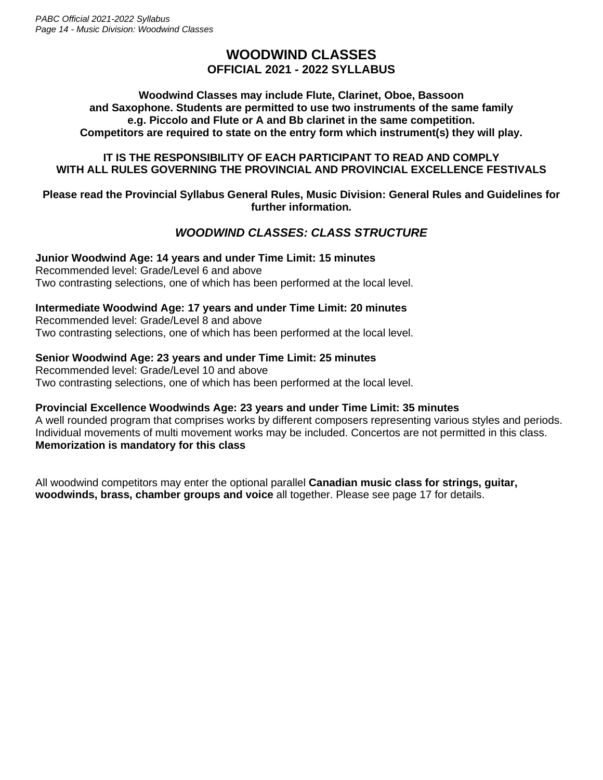# **WOODWIND CLASSES OFFICIAL 2021 - 2022 SYLLABUS**

### **Woodwind Classes may include Flute, Clarinet, Oboe, Bassoon and Saxophone. Students are permitted to use two instruments of the same family e.g. Piccolo and Flute or A and Bb clarinet in the same competition. Competitors are required to state on the entry form which instrument(s) they will play.**

### **IT IS THE RESPONSIBILITY OF EACH PARTICIPANT TO READ AND COMPLY WITH ALL RULES GOVERNING THE PROVINCIAL AND PROVINCIAL EXCELLENCE FESTIVALS**

### **Please read the Provincial Syllabus General Rules, Music Division: General Rules and Guidelines for further information.**

# *WOODWIND CLASSES: CLASS STRUCTURE*

**Junior Woodwind Age: 14 years and under Time Limit: 15 minutes** Recommended level: Grade/Level 6 and above Two contrasting selections, one of which has been performed at the local level.

### **Intermediate Woodwind Age: 17 years and under Time Limit: 20 minutes**

Recommended level: Grade/Level 8 and above Two contrasting selections, one of which has been performed at the local level.

### **Senior Woodwind Age: 23 years and under Time Limit: 25 minutes**

Recommended level: Grade/Level 10 and above Two contrasting selections, one of which has been performed at the local level.

### **Provincial Excellence Woodwinds Age: 23 years and under Time Limit: 35 minutes**

A well rounded program that comprises works by different composers representing various styles and periods. Individual movements of multi movement works may be included. Concertos are not permitted in this class. **Memorization is mandatory for this class**

All woodwind competitors may enter the optional parallel **Canadian music class for strings, guitar, woodwinds, brass, chamber groups and voice** all together. Please see page 17 for details.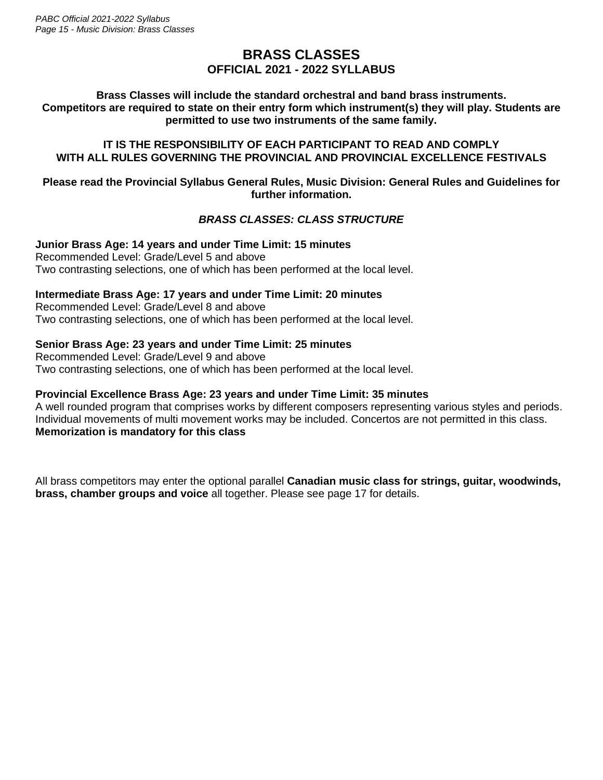# **BRASS CLASSES OFFICIAL 2021 - 2022 SYLLABUS**

**Brass Classes will include the standard orchestral and band brass instruments. Competitors are required to state on their entry form which instrument(s) they will play. Students are permitted to use two instruments of the same family.**

### **IT IS THE RESPONSIBILITY OF EACH PARTICIPANT TO READ AND COMPLY WITH ALL RULES GOVERNING THE PROVINCIAL AND PROVINCIAL EXCELLENCE FESTIVALS**

### **Please read the Provincial Syllabus General Rules, Music Division: General Rules and Guidelines for further information.**

# *BRASS CLASSES: CLASS STRUCTURE*

**Junior Brass Age: 14 years and under Time Limit: 15 minutes** Recommended Level: Grade/Level 5 and above Two contrasting selections, one of which has been performed at the local level.

### **Intermediate Brass Age: 17 years and under Time Limit: 20 minutes**

Recommended Level: Grade/Level 8 and above Two contrasting selections, one of which has been performed at the local level.

### **Senior Brass Age: 23 years and under Time Limit: 25 minutes**

Recommended Level: Grade/Level 9 and above Two contrasting selections, one of which has been performed at the local level.

### **Provincial Excellence Brass Age: 23 years and under Time Limit: 35 minutes**

A well rounded program that comprises works by different composers representing various styles and periods. Individual movements of multi movement works may be included. Concertos are not permitted in this class. **Memorization is mandatory for this class**

All brass competitors may enter the optional parallel **Canadian music class for strings, guitar, woodwinds, brass, chamber groups and voice** all together. Please see page 17 for details.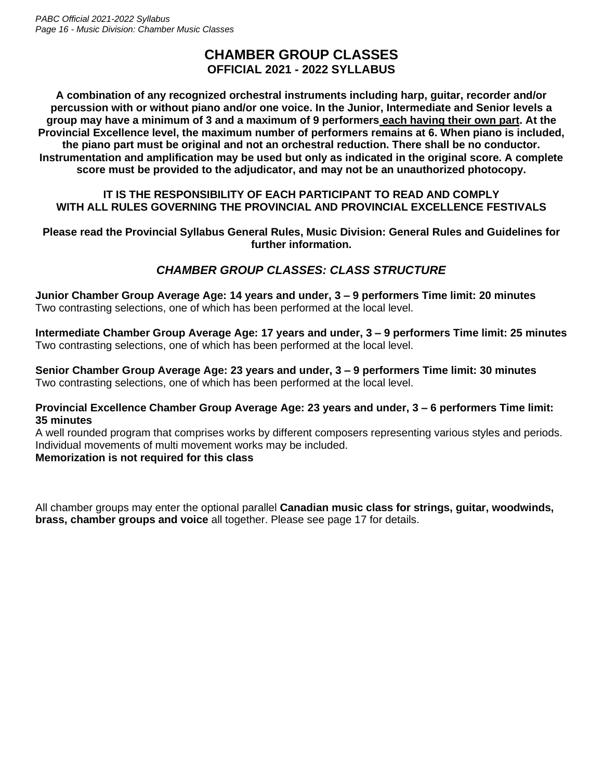# **CHAMBER GROUP CLASSES OFFICIAL 2021 - 2022 SYLLABUS**

**A combination of any recognized orchestral instruments including harp, guitar, recorder and/or percussion with or without piano and/or one voice. In the Junior, Intermediate and Senior levels a group may have a minimum of 3 and a maximum of 9 performers each having their own part. At the Provincial Excellence level, the maximum number of performers remains at 6. When piano is included, the piano part must be original and not an orchestral reduction. There shall be no conductor. Instrumentation and amplification may be used but only as indicated in the original score. A complete score must be provided to the adjudicator, and may not be an unauthorized photocopy.**

### **IT IS THE RESPONSIBILITY OF EACH PARTICIPANT TO READ AND COMPLY WITH ALL RULES GOVERNING THE PROVINCIAL AND PROVINCIAL EXCELLENCE FESTIVALS**

**Please read the Provincial Syllabus General Rules, Music Division: General Rules and Guidelines for further information.**

# *CHAMBER GROUP CLASSES: CLASS STRUCTURE*

**Junior Chamber Group Average Age: 14 years and under, 3 – 9 performers Time limit: 20 minutes** Two contrasting selections, one of which has been performed at the local level.

**Intermediate Chamber Group Average Age: 17 years and under, 3 – 9 performers Time limit: 25 minutes** Two contrasting selections, one of which has been performed at the local level.

**Senior Chamber Group Average Age: 23 years and under, 3 – 9 performers Time limit: 30 minutes** Two contrasting selections, one of which has been performed at the local level.

### **Provincial Excellence Chamber Group Average Age: 23 years and under, 3 – 6 performers Time limit: 35 minutes**

A well rounded program that comprises works by different composers representing various styles and periods. Individual movements of multi movement works may be included. **Memorization is not required for this class**

All chamber groups may enter the optional parallel **Canadian music class for strings, guitar, woodwinds, brass, chamber groups and voice** all together. Please see page 17 for details.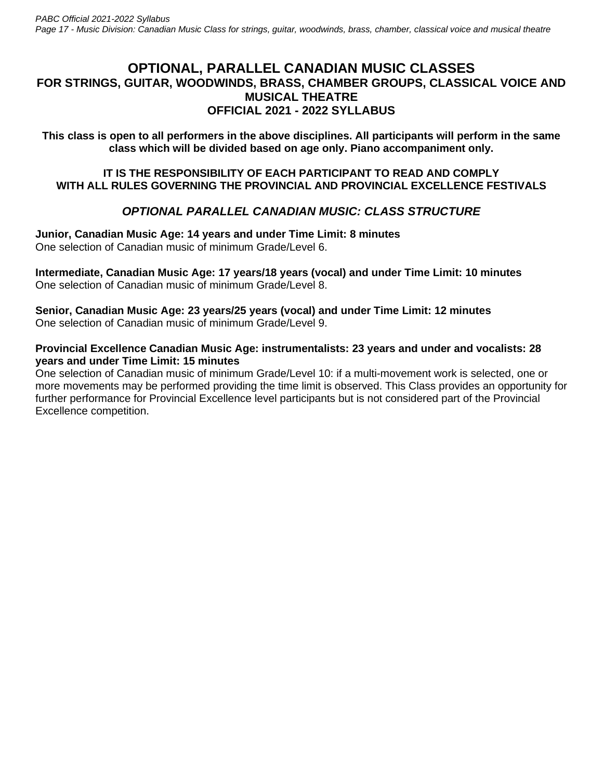# **OPTIONAL, PARALLEL CANADIAN MUSIC CLASSES FOR STRINGS, GUITAR, WOODWINDS, BRASS, CHAMBER GROUPS, CLASSICAL VOICE AND MUSICAL THEATRE OFFICIAL 2021 - 2022 SYLLABUS**

**This class is open to all performers in the above disciplines. All participants will perform in the same class which will be divided based on age only. Piano accompaniment only.**

### **IT IS THE RESPONSIBILITY OF EACH PARTICIPANT TO READ AND COMPLY WITH ALL RULES GOVERNING THE PROVINCIAL AND PROVINCIAL EXCELLENCE FESTIVALS**

# *OPTIONAL PARALLEL CANADIAN MUSIC: CLASS STRUCTURE*

**Junior, Canadian Music Age: 14 years and under Time Limit: 8 minutes** One selection of Canadian music of minimum Grade/Level 6.

**Intermediate, Canadian Music Age: 17 years/18 years (vocal) and under Time Limit: 10 minutes** One selection of Canadian music of minimum Grade/Level 8.

**Senior, Canadian Music Age: 23 years/25 years (vocal) and under Time Limit: 12 minutes** One selection of Canadian music of minimum Grade/Level 9.

### **Provincial Excellence Canadian Music Age: instrumentalists: 23 years and under and vocalists: 28 years and under Time Limit: 15 minutes**

One selection of Canadian music of minimum Grade/Level 10: if a multi-movement work is selected, one or more movements may be performed providing the time limit is observed. This Class provides an opportunity for further performance for Provincial Excellence level participants but is not considered part of the Provincial Excellence competition.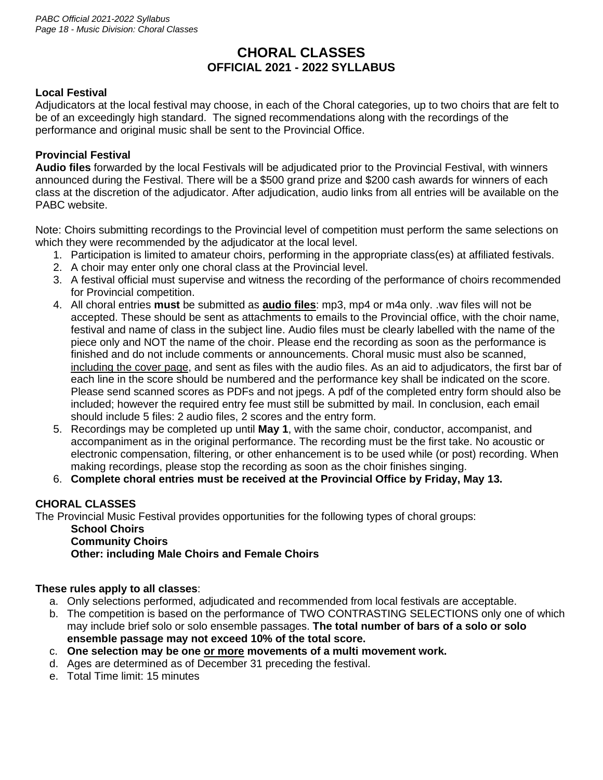# **CHORAL CLASSES OFFICIAL 2021 - 2022 SYLLABUS**

### **Local Festival**

Adjudicators at the local festival may choose, in each of the Choral categories, up to two choirs that are felt to be of an exceedingly high standard. The signed recommendations along with the recordings of the performance and original music shall be sent to the Provincial Office.

### **Provincial Festival**

**Audio files** forwarded by the local Festivals will be adjudicated prior to the Provincial Festival, with winners announced during the Festival. There will be a \$500 grand prize and \$200 cash awards for winners of each class at the discretion of the adjudicator. After adjudication, audio links from all entries will be available on the PABC website.

Note: Choirs submitting recordings to the Provincial level of competition must perform the same selections on which they were recommended by the adjudicator at the local level.

- 1. Participation is limited to amateur choirs, performing in the appropriate class(es) at affiliated festivals.
- 2. A choir may enter only one choral class at the Provincial level.
- 3. A festival official must supervise and witness the recording of the performance of choirs recommended for Provincial competition.
- 4. All choral entries **must** be submitted as **audio files**: mp3, mp4 or m4a only. .wav files will not be accepted. These should be sent as attachments to emails to the Provincial office, with the choir name, festival and name of class in the subject line. Audio files must be clearly labelled with the name of the piece only and NOT the name of the choir. Please end the recording as soon as the performance is finished and do not include comments or announcements. Choral music must also be scanned, including the cover page, and sent as files with the audio files. As an aid to adjudicators, the first bar of each line in the score should be numbered and the performance key shall be indicated on the score. Please send scanned scores as PDFs and not jpegs. A pdf of the completed entry form should also be included; however the required entry fee must still be submitted by mail. In conclusion, each email should include 5 files: 2 audio files, 2 scores and the entry form.
- 5. Recordings may be completed up until **May 1**, with the same choir, conductor, accompanist, and accompaniment as in the original performance. The recording must be the first take. No acoustic or electronic compensation, filtering, or other enhancement is to be used while (or post) recording. When making recordings, please stop the recording as soon as the choir finishes singing.
- 6. **Complete choral entries must be received at the Provincial Office by Friday, May 13.**

### **CHORAL CLASSES**

The Provincial Music Festival provides opportunities for the following types of choral groups:

### **School Choirs Community Choirs Other: including Male Choirs and Female Choirs**

### **These rules apply to all classes**:

- a. Only selections performed, adjudicated and recommended from local festivals are acceptable.
- b. The competition is based on the performance of TWO CONTRASTING SELECTIONS only one of which may include brief solo or solo ensemble passages. **The total number of bars of a solo or solo ensemble passage may not exceed 10% of the total score.**
- c. **One selection may be one or more movements of a multi movement work.**
- d. Ages are determined as of December 31 preceding the festival.
- e. Total Time limit: 15 minutes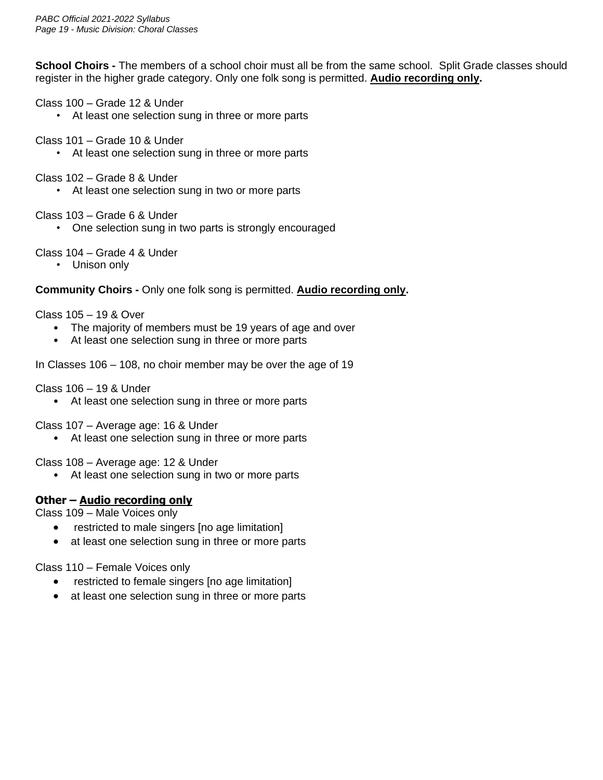**School Choirs -** The members of a school choir must all be from the same school. Split Grade classes should register in the higher grade category. Only one folk song is permitted. **Audio recording only.**

### Class 100 – Grade 12 & Under

- At least one selection sung in three or more parts
- Class 101 Grade 10 & Under
	- At least one selection sung in three or more parts
- Class 102 Grade 8 & Under
	- At least one selection sung in two or more parts

Class 103 – Grade 6 & Under

• One selection sung in two parts is strongly encouraged

### Class 104 – Grade 4 & Under

• Unison only

**Community Choirs -** Only one folk song is permitted. **Audio recording only.**

### Class 105 – 19 & Over

- The majority of members must be 19 years of age and over
- At least one selection sung in three or more parts

In Classes 106 – 108, no choir member may be over the age of 19

Class 106 – 19 & Under

• At least one selection sung in three or more parts

Class 107 – Average age: 16 & Under

• At least one selection sung in three or more parts

Class 108 – Average age: 12 & Under

• At least one selection sung in two or more parts

### **Other – Audio recording only**

Class 109 – Male Voices only

- restricted to male singers [no age limitation]
- at least one selection sung in three or more parts

Class 110 – Female Voices only

- restricted to female singers [no age limitation]
- at least one selection sung in three or more parts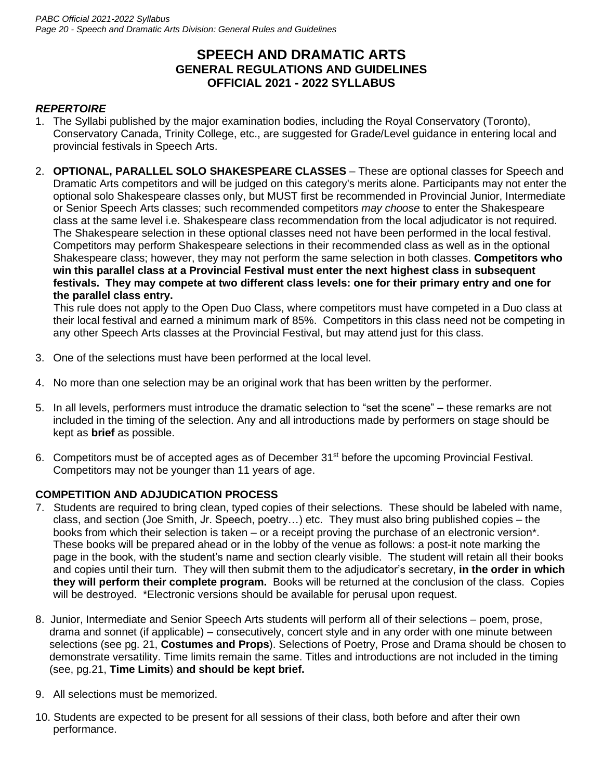# **SPEECH AND DRAMATIC ARTS GENERAL REGULATIONS AND GUIDELINES OFFICIAL 2021 - 2022 SYLLABUS**

# *REPERTOIRE*

- 1. The Syllabi published by the major examination bodies, including the Royal Conservatory (Toronto), Conservatory Canada, Trinity College, etc., are suggested for Grade/Level guidance in entering local and provincial festivals in Speech Arts.
- 2. **OPTIONAL, PARALLEL SOLO SHAKESPEARE CLASSES**  These are optional classes for Speech and Dramatic Arts competitors and will be judged on this category's merits alone. Participants may not enter the optional solo Shakespeare classes only, but MUST first be recommended in Provincial Junior, Intermediate or Senior Speech Arts classes; such recommended competitors *may choose* to enter the Shakespeare class at the same level i.e. Shakespeare class recommendation from the local adjudicator is not required. The Shakespeare selection in these optional classes need not have been performed in the local festival. Competitors may perform Shakespeare selections in their recommended class as well as in the optional Shakespeare class; however, they may not perform the same selection in both classes. **Competitors who win this parallel class at a Provincial Festival must enter the next highest class in subsequent festivals. They may compete at two different class levels: one for their primary entry and one for the parallel class entry.**

This rule does not apply to the Open Duo Class, where competitors must have competed in a Duo class at their local festival and earned a minimum mark of 85%. Competitors in this class need not be competing in any other Speech Arts classes at the Provincial Festival, but may attend just for this class.

- 3. One of the selections must have been performed at the local level.
- 4. No more than one selection may be an original work that has been written by the performer.
- 5. In all levels, performers must introduce the dramatic selection to "set the scene" these remarks are not included in the timing of the selection. Any and all introductions made by performers on stage should be kept as **brief** as possible.
- 6. Competitors must be of accepted ages as of December 31<sup>st</sup> before the upcoming Provincial Festival. Competitors may not be younger than 11 years of age.

### **COMPETITION AND ADJUDICATION PROCESS**

- 7. Students are required to bring clean, typed copies of their selections. These should be labeled with name, class, and section (Joe Smith, Jr. Speech, poetry…) etc. They must also bring published copies – the books from which their selection is taken – or a receipt proving the purchase of an electronic version\*. These books will be prepared ahead or in the lobby of the venue as follows: a post-it note marking the page in the book, with the student's name and section clearly visible. The student will retain all their books and copies until their turn. They will then submit them to the adjudicator's secretary, **in the order in which they will perform their complete program.** Books will be returned at the conclusion of the class. Copies will be destroyed. \*Electronic versions should be available for perusal upon request.
- 8. Junior, Intermediate and Senior Speech Arts students will perform all of their selections poem, prose, drama and sonnet (if applicable) – consecutively, concert style and in any order with one minute between selections (see pg. 21, **Costumes and Props**). Selections of Poetry, Prose and Drama should be chosen to demonstrate versatility. Time limits remain the same. Titles and introductions are not included in the timing (see, pg.21, **Time Limits**) **and should be kept brief.**
- 9. All selections must be memorized.
- 10. Students are expected to be present for all sessions of their class, both before and after their own performance.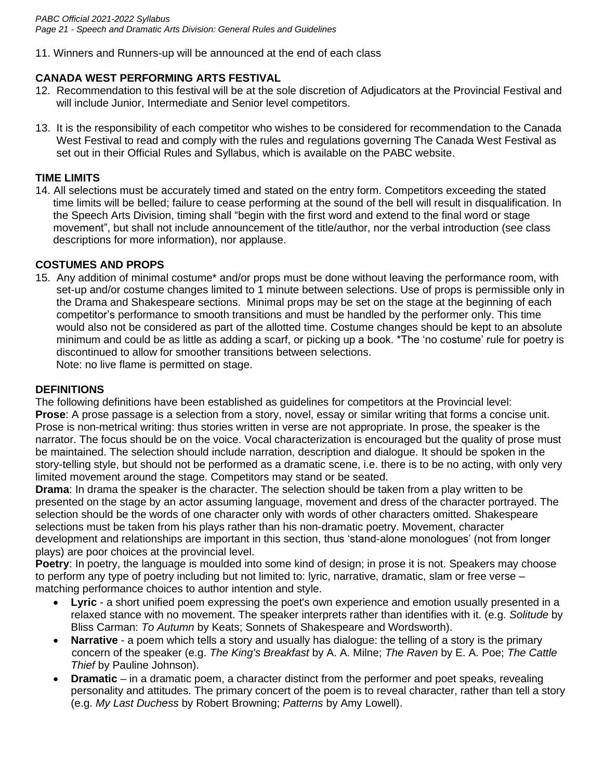11. Winners and Runners-up will be announced at the end of each class

### **CANADA WEST PERFORMING ARTS FESTIVAL**

- 12. Recommendation to this festival will be at the sole discretion of Adjudicators at the Provincial Festival and will include Junior, Intermediate and Senior level competitors.
- 13. It is the responsibility of each competitor who wishes to be considered for recommendation to the Canada West Festival to read and comply with the rules and regulations governing The Canada West Festival as set out in their Official Rules and Syllabus, which is available on the PABC website.

### **TIME LIMITS**

14. All selections must be accurately timed and stated on the entry form. Competitors exceeding the stated time limits will be belled; failure to cease performing at the sound of the bell will result in disqualification. In the Speech Arts Division, timing shall "begin with the first word and extend to the final word or stage movement", but shall not include announcement of the title/author, nor the verbal introduction (see class descriptions for more information), nor applause.

### **COSTUMES AND PROPS**

15. Any addition of minimal costume\* and/or props must be done without leaving the performance room, with set-up and/or costume changes limited to 1 minute between selections. Use of props is permissible only in the Drama and Shakespeare sections. Minimal props may be set on the stage at the beginning of each competitor's performance to smooth transitions and must be handled by the performer only. This time would also not be considered as part of the allotted time. Costume changes should be kept to an absolute minimum and could be as little as adding a scarf, or picking up a book. \*The 'no costume' rule for poetry is discontinued to allow for smoother transitions between selections.

Note: no live flame is permitted on stage.

### **DEFINITIONS**

The following definitions have been established as guidelines for competitors at the Provincial level: **Prose**: A prose passage is a selection from a story, novel, essay or similar writing that forms a concise unit. Prose is non-metrical writing: thus stories written in verse are not appropriate. In prose, the speaker is the narrator. The focus should be on the voice. Vocal characterization is encouraged but the quality of prose must be maintained. The selection should include narration, description and dialogue. It should be spoken in the story-telling style, but should not be performed as a dramatic scene, i.e. there is to be no acting, with only very limited movement around the stage. Competitors may stand or be seated.

**Drama**: In drama the speaker is the character. The selection should be taken from a play written to be presented on the stage by an actor assuming language, movement and dress of the character portrayed. The selection should be the words of one character only with words of other characters omitted. Shakespeare selections must be taken from his plays rather than his non-dramatic poetry. Movement, character development and relationships are important in this section, thus 'stand-alone monologues' (not from longer plays) are poor choices at the provincial level.

**Poetry**: In poetry, the language is moulded into some kind of design; in prose it is not. Speakers may choose to perform any type of poetry including but not limited to: lyric, narrative, dramatic, slam or free verse – matching performance choices to author intention and style.

- **Lyric** a short unified poem expressing the poet's own experience and emotion usually presented in a relaxed stance with no movement. The speaker interprets rather than identifies with it. (e.g. *Solitude* by Bliss Carman: *To Autumn* by Keats; Sonnets of Shakespeare and Wordsworth).
- **Narrative** a poem which tells a story and usually has dialogue: the telling of a story is the primary concern of the speaker (e.g. *The King's Breakfast* by A. A. Milne; *The Raven* by E. A. Poe; *The Cattle Thief* by Pauline Johnson).
- **Dramatic** in a dramatic poem, a character distinct from the performer and poet speaks, revealing personality and attitudes. The primary concert of the poem is to reveal character, rather than tell a story (e.g. *My Last Duchess* by Robert Browning; *Patterns* by Amy Lowell).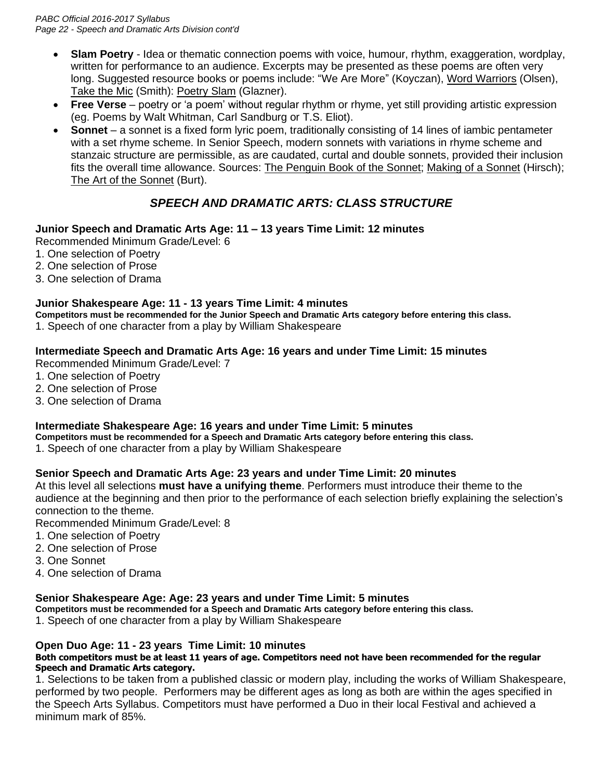- **Slam Poetry** Idea or thematic connection poems with voice, humour, rhythm, exaggeration, wordplay, written for performance to an audience. Excerpts may be presented as these poems are often very long. Suggested resource books or poems include: "We Are More" (Koyczan), Word Warriors (Olsen), Take the Mic (Smith): Poetry Slam (Glazner).
- **Free Verse**  poetry or 'a poem' without regular rhythm or rhyme, yet still providing artistic expression (eg. Poems by Walt Whitman, Carl Sandburg or T.S. Eliot).
- **Sonnet** a sonnet is a fixed form lyric poem, traditionally consisting of 14 lines of iambic pentameter with a set rhyme scheme. In Senior Speech, modern sonnets with variations in rhyme scheme and stanzaic structure are permissible, as are caudated, curtal and double sonnets, provided their inclusion fits the overall time allowance. Sources: The Penguin Book of the Sonnet; Making of a Sonnet (Hirsch); The Art of the Sonnet (Burt).

# *SPEECH AND DRAMATIC ARTS: CLASS STRUCTURE*

### **Junior Speech and Dramatic Arts Age: 11 – 13 years Time Limit: 12 minutes**

Recommended Minimum Grade/Level: 6

- 1. One selection of Poetry
- 2. One selection of Prose
- 3. One selection of Drama

### **Junior Shakespeare Age: 11 - 13 years Time Limit: 4 minutes**

**Competitors must be recommended for the Junior Speech and Dramatic Arts category before entering this class.** 1. Speech of one character from a play by William Shakespeare

### **Intermediate Speech and Dramatic Arts Age: 16 years and under Time Limit: 15 minutes**

Recommended Minimum Grade/Level: 7

- 1. One selection of Poetry
- 2. One selection of Prose
- 3. One selection of Drama

### **Intermediate Shakespeare Age: 16 years and under Time Limit: 5 minutes**

**Competitors must be recommended for a Speech and Dramatic Arts category before entering this class.**

1. Speech of one character from a play by William Shakespeare

### **Senior Speech and Dramatic Arts Age: 23 years and under Time Limit: 20 minutes**

At this level all selections **must have a unifying theme**. Performers must introduce their theme to the audience at the beginning and then prior to the performance of each selection briefly explaining the selection's connection to the theme.

Recommended Minimum Grade/Level: 8

- 1. One selection of Poetry
- 2. One selection of Prose
- 3. One Sonnet
- 4. One selection of Drama

### **Senior Shakespeare Age: Age: 23 years and under Time Limit: 5 minutes**

**Competitors must be recommended for a Speech and Dramatic Arts category before entering this class.**

1. Speech of one character from a play by William Shakespeare

### **Open Duo Age: 11 - 23 years Time Limit: 10 minutes**

### **Both competitors must be at least 11 years of age. Competitors need not have been recommended for the regular Speech and Dramatic Arts category.**

1. Selections to be taken from a published classic or modern play, including the works of William Shakespeare, performed by two people. Performers may be different ages as long as both are within the ages specified in the Speech Arts Syllabus. Competitors must have performed a Duo in their local Festival and achieved a minimum mark of 85%.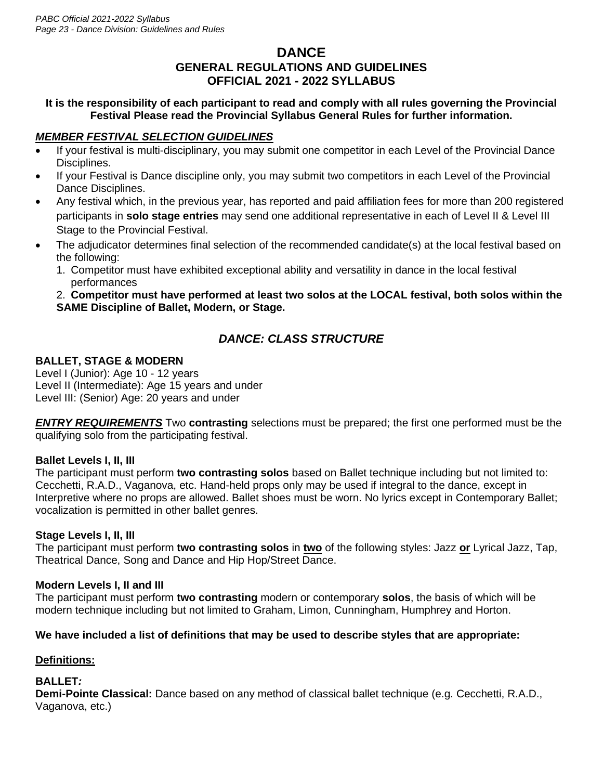# **DANCE GENERAL REGULATIONS AND GUIDELINES OFFICIAL 2021 - 2022 SYLLABUS**

### **It is the responsibility of each participant to read and comply with all rules governing the Provincial Festival Please read the Provincial Syllabus General Rules for further information.**

### *MEMBER FESTIVAL SELECTION GUIDELINES*

- If your festival is multi-disciplinary, you may submit one competitor in each Level of the Provincial Dance Disciplines.
- If your Festival is Dance discipline only, you may submit two competitors in each Level of the Provincial Dance Disciplines.
- Any festival which, in the previous year, has reported and paid affiliation fees for more than 200 registered participants in **solo stage entries** may send one additional representative in each of Level II & Level III Stage to the Provincial Festival.
- The adjudicator determines final selection of the recommended candidate(s) at the local festival based on the following:
	- 1. Competitor must have exhibited exceptional ability and versatility in dance in the local festival performances

2. **Competitor must have performed at least two solos at the LOCAL festival, both solos within the SAME Discipline of Ballet, Modern, or Stage.**

# *DANCE: CLASS STRUCTURE*

# **BALLET, STAGE & MODERN**

Level I (Junior): Age 10 - 12 years Level II (Intermediate): Age 15 years and under Level III: (Senior) Age: 20 years and under

*ENTRY REQUIREMENTS* Two **contrasting** selections must be prepared; the first one performed must be the qualifying solo from the participating festival.

### **Ballet Levels I, II, III**

The participant must perform **two contrasting solos** based on Ballet technique including but not limited to: Cecchetti, R.A.D., Vaganova, etc. Hand-held props only may be used if integral to the dance, except in Interpretive where no props are allowed. Ballet shoes must be worn. No lyrics except in Contemporary Ballet; vocalization is permitted in other ballet genres.

### **Stage Levels I, II, III**

The participant must perform **two contrasting solos** in **two** of the following styles: Jazz **or** Lyrical Jazz, Tap, Theatrical Dance, Song and Dance and Hip Hop/Street Dance.

### **Modern Levels I, II and III**

The participant must perform **two contrasting** modern or contemporary **solos**, the basis of which will be modern technique including but not limited to Graham, Limon, Cunningham, Humphrey and Horton.

### **We have included a list of definitions that may be used to describe styles that are appropriate:**

### **Definitions:**

### **BALLET***:*

**Demi-Pointe Classical:** Dance based on any method of classical ballet technique (e.g. Cecchetti, R.A.D., Vaganova, etc.)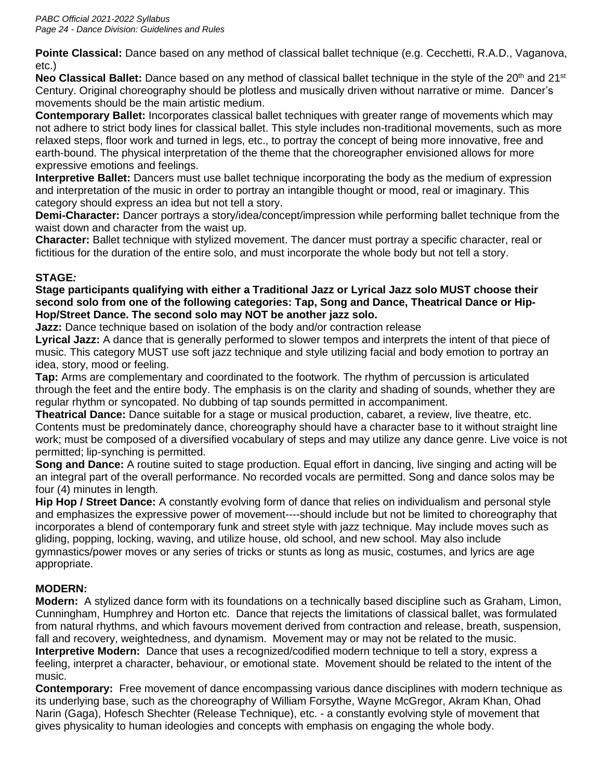**Pointe Classical:** Dance based on any method of classical ballet technique (e.g. Cecchetti, R.A.D., Vaganova, etc.)

**Neo Classical Ballet:** Dance based on any method of classical ballet technique in the style of the 20<sup>th</sup> and 21<sup>st</sup> Century. Original choreography should be plotless and musically driven without narrative or mime. Dancer's movements should be the main artistic medium.

**Contemporary Ballet:** Incorporates classical ballet techniques with greater range of movements which may not adhere to strict body lines for classical ballet. This style includes non-traditional movements, such as more relaxed steps, floor work and turned in legs, etc., to portray the concept of being more innovative, free and earth-bound. The physical interpretation of the theme that the choreographer envisioned allows for more expressive emotions and feelings.

**Interpretive Ballet:** Dancers must use ballet technique incorporating the body as the medium of expression and interpretation of the music in order to portray an intangible thought or mood, real or imaginary. This category should express an idea but not tell a story.

**Demi-Character:** Dancer portrays a story/idea/concept/impression while performing ballet technique from the waist down and character from the waist up.

**Character:** Ballet technique with stylized movement. The dancer must portray a specific character, real or fictitious for the duration of the entire solo, and must incorporate the whole body but not tell a story.

# **STAGE***:*

### **Stage participants qualifying with either a Traditional Jazz or Lyrical Jazz solo MUST choose their second solo from one of the following categories: Tap, Song and Dance, Theatrical Dance or Hip-Hop/Street Dance. The second solo may NOT be another jazz solo.**

**Jazz:** Dance technique based on isolation of the body and/or contraction release

**Lyrical Jazz:** A dance that is generally performed to slower tempos and interprets the intent of that piece of music. This category MUST use soft jazz technique and style utilizing facial and body emotion to portray an idea, story, mood or feeling.

**Tap:** Arms are complementary and coordinated to the footwork. The rhythm of percussion is articulated through the feet and the entire body. The emphasis is on the clarity and shading of sounds, whether they are regular rhythm or syncopated. No dubbing of tap sounds permitted in accompaniment.

**Theatrical Dance:** Dance suitable for a stage or musical production, cabaret, a review, live theatre, etc. Contents must be predominately dance, choreography should have a character base to it without straight line work; must be composed of a diversified vocabulary of steps and may utilize any dance genre. Live voice is not permitted; lip-synching is permitted.

**Song and Dance:** A routine suited to stage production. Equal effort in dancing, live singing and acting will be an integral part of the overall performance. No recorded vocals are permitted. Song and dance solos may be four (4) minutes in length.

**Hip Hop / Street Dance:** A constantly evolving form of dance that relies on individualism and personal style and emphasizes the expressive power of movement----should include but not be limited to choreography that incorporates a blend of contemporary funk and street style with jazz technique. May include moves such as gliding, popping, locking, waving, and utilize house, old school, and new school. May also include gymnastics/power moves or any series of tricks or stunts as long as music, costumes, and lyrics are age appropriate.

# **MODERN:**

**Modern:**A stylized dance form with its foundations on a technically based discipline such as Graham, Limon, Cunningham, Humphrey and Horton etc. Dance that rejects the limitations of classical ballet, was formulated from natural rhythms, and which favours movement derived from contraction and release, breath, suspension, fall and recovery, weightedness, and dynamism. Movement may or may not be related to the music. **Interpretive Modern:** Dance that uses a recognized/codified modern technique to tell a story, express a feeling, interpret a character, behaviour, or emotional state. Movement should be related to the intent of the music.

**Contemporary:** Free movement of dance encompassing various dance disciplines with modern technique as its underlying base, such as the choreography of William Forsythe, Wayne McGregor, Akram Khan, Ohad Narin (Gaga), Hofesch Shechter (Release Technique), etc. - a constantly evolving style of movement that gives physicality to human ideologies and concepts with emphasis on engaging the whole body.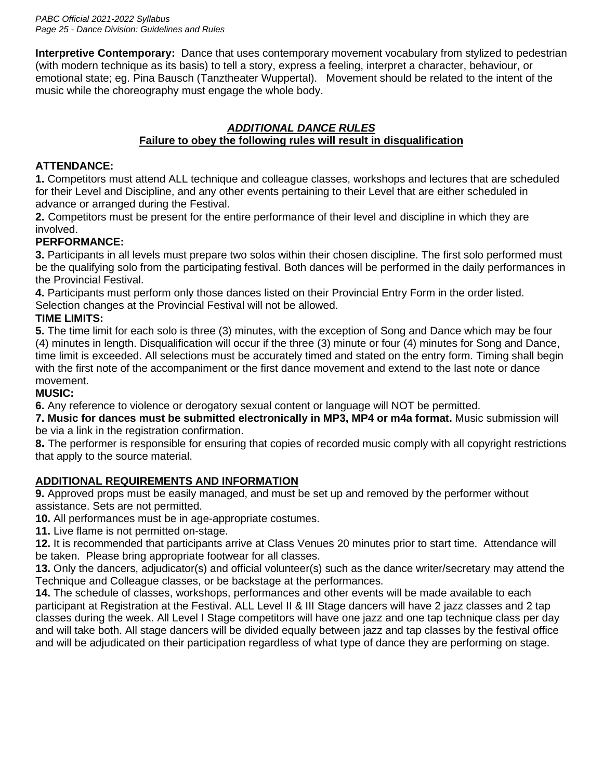**Interpretive Contemporary:** Dance that uses contemporary movement vocabulary from stylized to pedestrian (with modern technique as its basis) to tell a story, express a feeling, interpret a character, behaviour, or emotional state; eg. Pina Bausch (Tanztheater Wuppertal). Movement should be related to the intent of the music while the choreography must engage the whole body.

### *ADDITIONAL DANCE RULES* **Failure to obey the following rules will result in disqualification**

### **ATTENDANCE:**

**1.** Competitors must attend ALL technique and colleague classes, workshops and lectures that are scheduled for their Level and Discipline, and any other events pertaining to their Level that are either scheduled in advance or arranged during the Festival.

**2.** Competitors must be present for the entire performance of their level and discipline in which they are involved.

# **PERFORMANCE:**

**3.** Participants in all levels must prepare two solos within their chosen discipline. The first solo performed must be the qualifying solo from the participating festival. Both dances will be performed in the daily performances in the Provincial Festival.

**4.** Participants must perform only those dances listed on their Provincial Entry Form in the order listed. Selection changes at the Provincial Festival will not be allowed.

# **TIME LIMITS:**

**5.** The time limit for each solo is three (3) minutes, with the exception of Song and Dance which may be four (4) minutes in length. Disqualification will occur if the three (3) minute or four (4) minutes for Song and Dance, time limit is exceeded. All selections must be accurately timed and stated on the entry form. Timing shall begin with the first note of the accompaniment or the first dance movement and extend to the last note or dance movement.

### **MUSIC:**

**6.** Any reference to violence or derogatory sexual content or language will NOT be permitted.

**7. Music for dances must be submitted electronically in MP3, MP4 or m4a format.** Music submission will be via a link in the registration confirmation.

**8.** The performer is responsible for ensuring that copies of recorded music comply with all copyright restrictions that apply to the source material.

### **ADDITIONAL REQUIREMENTS AND INFORMATION**

**9.** Approved props must be easily managed, and must be set up and removed by the performer without assistance. Sets are not permitted.

**10.** All performances must be in age-appropriate costumes.

**11.** Live flame is not permitted on-stage.

**12.** It is recommended that participants arrive at Class Venues 20 minutes prior to start time. Attendance will be taken. Please bring appropriate footwear for all classes.

**13.** Only the dancers, adjudicator(s) and official volunteer(s) such as the dance writer/secretary may attend the Technique and Colleague classes, or be backstage at the performances.

**14.** The schedule of classes, workshops, performances and other events will be made available to each participant at Registration at the Festival. ALL Level II & III Stage dancers will have 2 jazz classes and 2 tap classes during the week. All Level I Stage competitors will have one jazz and one tap technique class per day and will take both. All stage dancers will be divided equally between jazz and tap classes by the festival office and will be adjudicated on their participation regardless of what type of dance they are performing on stage.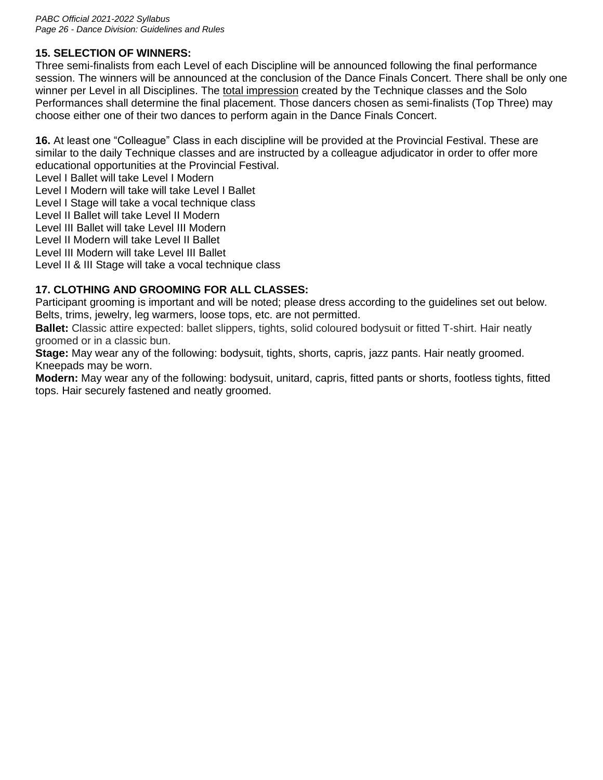### **15. SELECTION OF WINNERS:**

Three semi-finalists from each Level of each Discipline will be announced following the final performance session. The winners will be announced at the conclusion of the Dance Finals Concert. There shall be only one winner per Level in all Disciplines. The total impression created by the Technique classes and the Solo Performances shall determine the final placement. Those dancers chosen as semi-finalists (Top Three) may choose either one of their two dances to perform again in the Dance Finals Concert.

**16.** At least one "Colleague" Class in each discipline will be provided at the Provincial Festival. These are similar to the daily Technique classes and are instructed by a colleague adjudicator in order to offer more educational opportunities at the Provincial Festival.

Level I Ballet will take Level I Modern

Level I Modern will take will take Level I Ballet

Level I Stage will take a vocal technique class

Level II Ballet will take Level II Modern

Level III Ballet will take Level III Modern

Level II Modern will take Level II Ballet

Level III Modern will take Level III Ballet

Level II & III Stage will take a vocal technique class

### **17. CLOTHING AND GROOMING FOR ALL CLASSES:**

Participant grooming is important and will be noted; please dress according to the guidelines set out below. Belts, trims, jewelry, leg warmers, loose tops, etc. are not permitted.

**Ballet:** Classic attire expected: ballet slippers, tights, solid coloured bodysuit or fitted T-shirt. Hair neatly groomed or in a classic bun.

**Stage:** May wear any of the following: bodysuit, tights, shorts, capris, jazz pants. Hair neatly groomed. Kneepads may be worn.

**Modern:** May wear any of the following: bodysuit, unitard, capris, fitted pants or shorts, footless tights, fitted tops. Hair securely fastened and neatly groomed.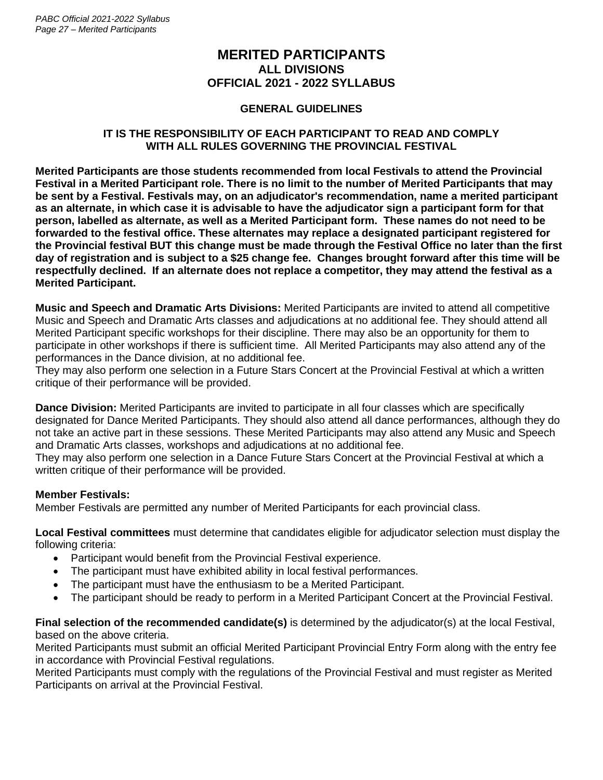*PABC Official 2021-2022 Syllabus Page 27 – Merited Participants*

### **MERITED PARTICIPANTS ALL DIVISIONS OFFICIAL 2021 - 2022 SYLLABUS**

### **GENERAL GUIDELINES**

### **IT IS THE RESPONSIBILITY OF EACH PARTICIPANT TO READ AND COMPLY WITH ALL RULES GOVERNING THE PROVINCIAL FESTIVAL**

**Merited Participants are those students recommended from local Festivals to attend the Provincial Festival in a Merited Participant role. There is no limit to the number of Merited Participants that may be sent by a Festival. Festivals may, on an adjudicator's recommendation, name a merited participant as an alternate, in which case it is advisable to have the adjudicator sign a participant form for that person, labelled as alternate, as well as a Merited Participant form. These names do not need to be forwarded to the festival office. These alternates may replace a designated participant registered for the Provincial festival BUT this change must be made through the Festival Office no later than the first day of registration and is subject to a \$25 change fee. Changes brought forward after this time will be respectfully declined. If an alternate does not replace a competitor, they may attend the festival as a Merited Participant.**

**Music and Speech and Dramatic Arts Divisions:** Merited Participants are invited to attend all competitive Music and Speech and Dramatic Arts classes and adjudications at no additional fee. They should attend all Merited Participant specific workshops for their discipline. There may also be an opportunity for them to participate in other workshops if there is sufficient time. All Merited Participants may also attend any of the performances in the Dance division, at no additional fee.

They may also perform one selection in a Future Stars Concert at the Provincial Festival at which a written critique of their performance will be provided.

**Dance Division:** Merited Participants are invited to participate in all four classes which are specifically designated for Dance Merited Participants. They should also attend all dance performances, although they do not take an active part in these sessions. These Merited Participants may also attend any Music and Speech and Dramatic Arts classes, workshops and adjudications at no additional fee.

They may also perform one selection in a Dance Future Stars Concert at the Provincial Festival at which a written critique of their performance will be provided.

### **Member Festivals:**

Member Festivals are permitted any number of Merited Participants for each provincial class.

**Local Festival committees** must determine that candidates eligible for adjudicator selection must display the following criteria:

- Participant would benefit from the Provincial Festival experience.
- The participant must have exhibited ability in local festival performances.
- The participant must have the enthusiasm to be a Merited Participant.
- The participant should be ready to perform in a Merited Participant Concert at the Provincial Festival.

**Final selection of the recommended candidate(s)** is determined by the adjudicator(s) at the local Festival, based on the above criteria.

Merited Participants must submit an official Merited Participant Provincial Entry Form along with the entry fee in accordance with Provincial Festival regulations.

Merited Participants must comply with the regulations of the Provincial Festival and must register as Merited Participants on arrival at the Provincial Festival.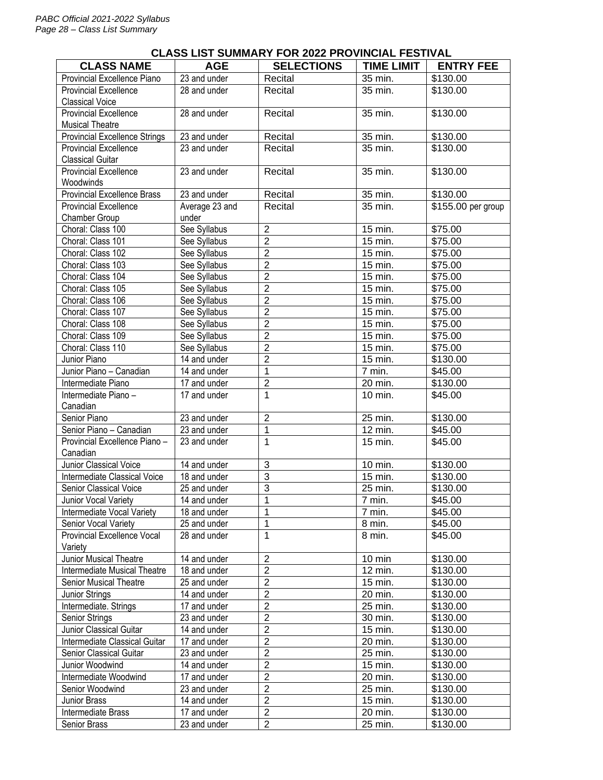#### **CLASS NAME AGE SELECTIONS TIME LIMIT ENTRY FEE** Provincial Excellence Piano  $\left| \right|$  23 and under  $\left| \right|$  Recital  $\left| \right|$  35 min.  $\left| \right|$  \$130.00 Provincial Excellence Classical Voice 28 and under I Recital I 35 min. 1 \$130.00 Provincial Excellence Musical Theatre 28 and under Recital 35 min. \$130.00 Provincial Excellence Strings 23 and under Recital 35 min. \$130.00 Provincial Excellence Classical Guitar 23 and under Recital 35 min. \$130.00 Provincial Excellence **Woodwinds** 23 and under Recital 35 min. \$130.00 Provincial Excellence Brass 23 and under Recital 35 min. \$130.00 Provincial Excellence Chamber Group Average 23 and under Recital 35 min. \$155.00 per group Choral: Class 100 See Syllabus 2 15 min. \$75.00 Choral: Class 101 See Syllabus 2 15 min. \$75.00 Choral: Class 102 See Syllabus 2 15 min. \$75.00 Choral: Class 103 See Syllabus 2 15 min. \$75.00 Choral: Class 104 See Syllabus 2 15 min. \$75.00<br>
Choral: Class 105 See Syllabus 2 15 min. \$75.00 Choral: Class 105 See Syllabus 2 15 min. \$75.00<br>
Choral: Class 106 See Syllabus 2 15 min. \$75.00 Choral: Class 106 See Syllabus 2 15 min. \$75.00<br>
Choral: Class 107 See Syllabus 2 15 min. \$75.00 Choral: Class 107 See Syllabus 2 15 min. \$75.00 Choral: Class 108 See Syllabus 2 15 min. \$75.00 Choral: Class 109 See Syllabus 2 15 min. \$75.00 Choral: Class 110 See Syllabus 2 15 min. \$75.00<br>
Junior Piano 14 and under 2 15 min. \$130.00 Junior Piano 14 and under 2 15 min. \$130.00 Junior Piano – Canadian 14 and under 1 1 7 min. \$45.00 Intermediate Piano 17 and under 2 20 min. \$130.00 Intermediate Piano – Canadian<br>Senior Piano 17 and under 1 10 min. \$45.00 Senior Piano 23 and under 2 25 min. \$130.00 Senior Piano – Canadian 23 and under 1 1 12 min. \$45.00 Provincial Excellence Piano – Canadian 23 and under 1 1 15 min. \$45.00 Junior Classical Voice 14 and under 13 10 min. 1 \$130.00 Intermediate Classical Voice 18 and under 13 15 min. \$130.00<br>
Senior Classical Voice 25 and under 3 25 min. \$130.00 Senior Classical Voice 25 and under 3 25 min. Junior Vocal Variety 14 and under 1 1 7 min. \$45.00 Intermediate Vocal Variety 18 and under 1 1 1 1 7 min. \$45.00 Senior Vocal Variety 25 and under 1 8 min. \$45.00 Provincial Excellence Vocal Variety 28 and under 1 1 8 min. \$45.00 Junior Musical Theatre 14 and under 2 10 min \$130.00 Intermediate Musical Theatre 18 and under 2 12 min. \$130.00<br>
Senior Musical Theatre 2 15 and under 2 15 min. \$130.00 Senior Musical Theatre 25 and under 2 15 min. \$130.00 Junior Strings 14 and under 2 20 min. \$130.00 Intermediate. Strings 17 and under 2 25 min. \$130.00 Senior Strings 23 and under 2 30 min. \$130.00<br>
Junior Classical Guitar 14 and under 2 15 min. \$130.00 Junior Classical Guitar 14 and under 2 15 min. \$130.00 Intermediate Classical Guitar 17 and under 2 20 min. \$130.00 Senior Classical Guitar 23 and under 2 25 min. \$130.00 Junior Woodwind 14 and under 2 15 min. \$130.00 Intermediate Woodwind 17 and under 2 20 min. \$130.00

Senior Woodwind 23 and under 2 25 min. \$130.00 14 and under 12 15 min. \$130.00<br>
17 and under 12 15 min. \$130.00<br>
20 min. \$130.00 Intermediate Brass 17 and under 2 20 min. \$130.00 Senior Brass 23 and under 2 23 and under 2 25 min. 1 \$130.00

#### **CLASS LIST SUMMARY FOR 2022 PROVINCIAL FESTIVAL**